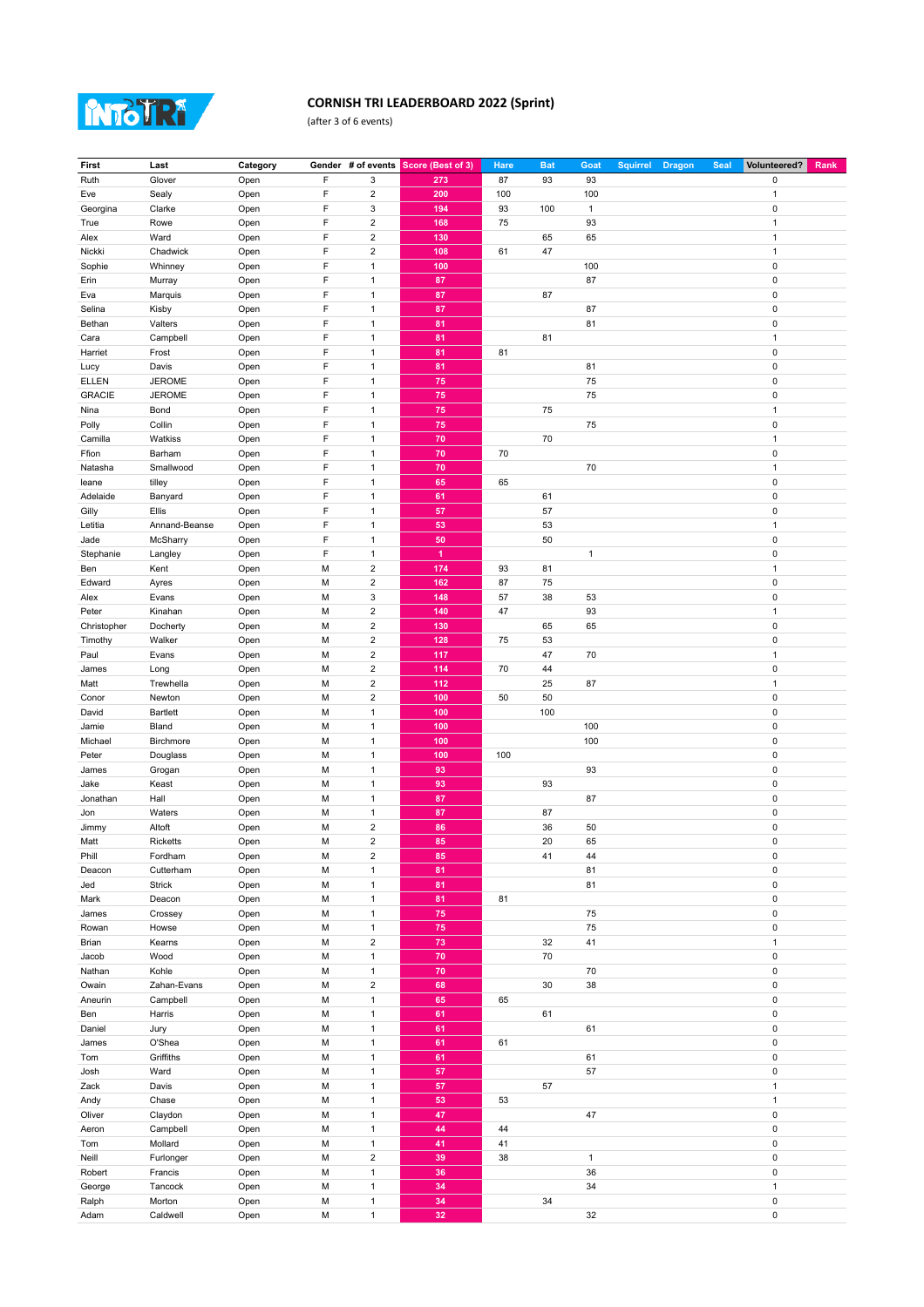

## **CORNISH TRI LEADERBOARD 2022 (Sprint)**

(after 3 of 6 events)

| F<br>3<br>Glover<br>273<br>87<br>93<br>93<br>$\pmb{0}$<br>Ruth<br>Open<br>F<br>$\overline{\mathbf{c}}$<br>Sealy<br>Open<br>200<br>100<br>100<br>Eve<br>$\mathbf{1}$<br>F<br>$\mathsf 3$<br>93<br>100<br>0<br>Georgina<br>Clarke<br>Open<br>194<br>1<br>F<br>$\overline{2}$<br>Open<br>168<br>75<br>93<br>True<br>Rowe<br>$\mathbf{1}$<br>F<br>$\overline{2}$<br>130<br>65<br>65<br>Ward<br>Open<br>1<br>Alex<br>F<br>$\overline{2}$<br>108<br>61<br>47<br>Nickki<br>Chadwick<br>Open<br>1<br>F<br>$\overline{1}$<br>100<br>100<br>0<br>Sophie<br>Whinney<br>Open<br>F<br>87<br>87<br>$\mathbf{1}$<br>0<br>Erin<br>Murray<br>Open<br>F<br>$\mathbf{1}$<br>87<br>87<br>0<br>Eva<br>Marquis<br>Open<br>F<br>$\mathbf{1}$<br>87<br>87<br>0<br>Selina<br>Kisby<br>Open<br>F<br>Valters<br>Open<br>$\mathbf{1}$<br>81<br>81<br>0<br>Bethan<br>F<br>$\mathbf{1}$<br>81<br>81<br>Campbell<br>Open<br>1<br>Cara<br>F<br>$\pmb{0}$<br>Frost<br>Open<br>$\mathbf{1}$<br>81<br>81<br>Harriet<br>F<br>$\mathbf{1}$<br>81<br>0<br>Davis<br>Open<br>81<br>Lucy<br><b>ELLEN</b><br><b>JEROME</b><br>F<br>$\mathbf{1}$<br>75<br>75<br>0<br>Open<br>F<br><b>GRACIE</b><br><b>JEROME</b><br>$\mathbf{1}$<br>75<br>75<br>0<br>Open<br>F<br>75<br>75<br>$\mathbf{1}$<br>Bond<br>Open<br>1<br>Nina<br>F<br>Collin<br>$\mathbf{1}$<br>75<br>75<br>0<br>Polly<br>Open<br>F<br>70<br>Camilla<br>$\mathbf{1}$<br>70<br>Watkiss<br>Open<br>$\mathbf{1}$<br>F<br>Barham<br>$\mathbf{1}$<br>70<br>70<br>0<br>Ffion<br>Open<br>F<br>Smallwood<br>$\mathbf{1}$<br>70<br>70<br>Natasha<br>Open<br>$\mathbf{1}$<br>F<br>Open<br>$\mathbf{1}$<br>65<br>65<br>$\pmb{0}$<br>leane<br>tilley<br>F<br>$\overline{1}$<br>$\pmb{0}$<br>Adelaide<br>Banyard<br>61<br>61<br>Open<br>F<br>57<br>57<br>Gilly<br>Ellis<br>$\mathbf{1}$<br>0<br>Open<br>F<br>53<br>Annand-Beanse<br>$\mathbf{1}$<br>53<br>Letitia<br>Open<br>$\mathbf{1}$<br>F<br>50<br>McSharry<br>$\mathbf{1}$<br>50<br>0<br>Jade<br>Open<br>F<br>$\mathbf{1}$<br>$\blacktriangleleft$<br>$\mathbf{1}$<br>0<br>Stephanie<br>Open<br>Langley<br>M<br>$\overline{2}$<br>174<br>93<br>81<br>Kent<br>Open<br>$\mathbf{1}$<br>Ben<br>$\overline{2}$<br>M<br>162<br>87<br>75<br>0<br>Edward<br>Ayres<br>Open<br>M<br>$\mathsf 3$<br>148<br>$\pmb{0}$<br>57<br>38<br>53<br>Alex<br>Evans<br>Open<br>Kinahan<br>М<br>$\overline{2}$<br>140<br>47<br>93<br>Peter<br>Open<br>$\mathbf{1}$<br>M<br>$\overline{c}$<br>130<br>65<br>65<br>0<br>Christopher<br>Docherty<br>Open<br>$\overline{2}$<br>Timothy<br>Walker<br>M<br>128<br>75<br>53<br>0<br>Open<br>$\overline{2}$<br>47<br>М<br>117<br>70<br>Paul<br>Evans<br>Open<br>1<br>$\overline{2}$<br>114<br>M<br>70<br>44<br>0<br>Long<br>Open<br>James<br>M<br>$\overline{2}$<br>25<br>Trewhella<br>87<br>Matt<br>Open<br>112<br>$\mathbf{1}$<br>50<br>M<br>$\overline{2}$<br>100<br>50<br>0<br>Conor<br>Newton<br>Open<br>Bartlett<br>M<br>$\mathbf{1}$<br>100<br>100<br>0<br>Open<br>David<br>M<br>$\mathbf{1}$<br>100<br>100<br>0<br>Bland<br>Open<br>Jamie<br>M<br>$\mathbf{1}$<br>100<br>100<br>0<br>Michael<br>Birchmore<br>Open<br>М<br>$\mathbf{1}$<br>100<br>100<br>0<br>Peter<br>Douglass<br>Open<br>M<br>$\mathbf{1}$<br>93<br>93<br>0<br>James<br>Grogan<br>Open<br>M<br>$\mathbf{1}$<br>93<br>93<br>0<br>Jake<br>Keast<br>Open<br>Jonathan<br>Hall<br>Open<br>M<br>$\mathbf{1}$<br>87<br>87<br>0<br>M<br>$\mathbf{1}$<br>87<br>87<br>0<br>Waters<br>Open<br>Jon<br>$\overline{\mathbf{c}}$<br>86<br>36<br>Altoft<br>Open<br>M<br>50<br>0<br>Jimmy<br>$\overline{2}$<br>20<br>M<br>85<br>65<br>0<br>Matt<br><b>Ricketts</b><br>Open<br>Phill<br>Fordham<br>Open<br>M<br>$\overline{c}$<br>85<br>41<br>44<br>O<br>$\pmb{0}$<br>M<br>$\mathbf{1}$<br>81<br>81<br>Deacon<br>Cutterham<br>Open<br>81<br><b>Strick</b><br>Open<br>М<br>$\mathbf{1}$<br>81<br>0<br>Jed<br>81<br>81<br>$\pmb{0}$<br>Deacon<br>Open<br>М<br>$\mathbf{1}$<br>Mark<br>М<br>75<br>75<br>$\pmb{0}$<br>Open<br>$\mathbf{1}$<br>James<br>Crossey<br>$\mathbf{1}$<br>75<br>75<br>$\pmb{0}$<br>Open<br>М<br>Rowan<br>Howse<br>32<br>Kearns<br>М<br>$\overline{a}$<br>73<br>41<br>$\mathbf{1}$<br>Brian<br>Open<br>$\mathbf{1}$<br>70<br>$\pmb{0}$<br>Wood<br>Open<br>М<br>70<br>Jacob<br>70<br>$\pmb{0}$<br>Nathan<br>Kohle<br>М<br>$\mathbf{1}$<br>70<br>Open<br>$\overline{2}$<br>68<br>30<br>38<br>$\pmb{0}$<br>Zahan-Evans<br>Open<br>М<br>Owain<br>$\mathbf{1}$<br>65<br>$\pmb{0}$<br>Open<br>М<br>65<br>Aneurin<br>Campbell<br>$\pmb{0}$<br>Ben<br>Harris<br>Open<br>М<br>$\mathbf{1}$<br>61<br>61<br>М<br>$\mathbf{1}$<br>61<br>61<br>$\pmb{0}$<br>Daniel<br>Jury<br>Open<br>$\pmb{0}$<br>O'Shea<br>Open<br>М<br>$\mathbf{1}$<br>61<br>61<br>James<br>$\mathbf{1}$<br>61<br>$\pmb{0}$<br>Griffiths<br>Open<br>М<br>61<br>Tom<br>$\mathbf{1}$<br>57<br>57<br>$\pmb{0}$<br>Ward<br>М<br>Josh<br>Open<br>57<br>Zack<br>Davis<br>Open<br>М<br>$\mathbf{1}$<br>57<br>$\mathbf{1}$<br>$\mathbf{1}$<br>Chase<br>Open<br>М<br>53<br>53<br>$\mathbf{1}$<br>Andy<br>$\mathbf{1}$<br>47<br>47<br>$\pmb{0}$<br>Oliver<br>Claydon<br>Open<br>М<br>Campbell<br>М<br>$\mathbf{1}$<br>44<br>44<br>$\pmb{0}$<br>Aeron<br>Open<br>$\mathbf{1}$<br>41<br>41<br>$\pmb{0}$<br>Mollard<br>Open<br>М<br>Tom<br>М<br>$\overline{2}$<br>$\pmb{0}$<br>Furlonger<br>Open<br>39<br>38<br>$\mathbf{1}$<br>Neill<br>$\mathbf{1}$<br>36<br>$\pmb{0}$<br>Francis<br>Open<br>М<br>36<br>Robert<br>34<br>George<br>Tancock<br>Open<br>М<br>$\mathbf{1}$<br>34<br>$\mathbf{1}$<br>М<br>$\mathbf{1}$<br>34<br>34<br>$\pmb{0}$<br>Ralph<br>Morton<br>Open | First | Last     | Category |   |              | Gender # of events Score (Best of 3) | <b>Hare</b> | <b>Bat</b> | Goat | <b>Squirrel</b> | <b>Dragon</b> | <b>Seal</b> | Volunteered? | Rank |
|--------------------------------------------------------------------------------------------------------------------------------------------------------------------------------------------------------------------------------------------------------------------------------------------------------------------------------------------------------------------------------------------------------------------------------------------------------------------------------------------------------------------------------------------------------------------------------------------------------------------------------------------------------------------------------------------------------------------------------------------------------------------------------------------------------------------------------------------------------------------------------------------------------------------------------------------------------------------------------------------------------------------------------------------------------------------------------------------------------------------------------------------------------------------------------------------------------------------------------------------------------------------------------------------------------------------------------------------------------------------------------------------------------------------------------------------------------------------------------------------------------------------------------------------------------------------------------------------------------------------------------------------------------------------------------------------------------------------------------------------------------------------------------------------------------------------------------------------------------------------------------------------------------------------------------------------------------------------------------------------------------------------------------------------------------------------------------------------------------------------------------------------------------------------------------------------------------------------------------------------------------------------------------------------------------------------------------------------------------------------------------------------------------------------------------------------------------------------------------------------------------------------------------------------------------------------------------------------------------------------------------------------------------------------------------------------------------------------------------------------------------------------------------------------------------------------------------------------------------------------------------------------------------------------------------------------------------------------------------------------------------------------------------------------------------------------------------------------------------------------------------------------------------------------------------------------------------------------------------------------------------------------------------------------------------------------------------------------------------------------------------------------------------------------------------------------------------------------------------------------------------------------------------------------------------------------------------------------------------------------------------------------------------------------------------------------------------------------------------------------------------------------------------------------------------------------------------------------------------------------------------------------------------------------------------------------------------------------------------------------------------------------------------------------------------------------------------------------------------------------------------------------------------------------------------------------------------------------------------------------------------------------------------------------------------------------------------------------------------------------------------------------------------------------------------------------------------------------------------------------------------------------------------------------------------------------------------------------------------------------------------------------------------------------------------------------------------------------------------------------------------------------------------------------------------------------------------------------------------------------------------------------------------------------------------------------------------------------------------------------------------------------------------------------------------------------------------------------------------------------------------------------------------------------------------------------------------------------------------------------------------------------------------------------------------------------------------------------------------------------------------------------------------------------------------------------------------------------------------------------------------------------------------------------------------------------|-------|----------|----------|---|--------------|--------------------------------------|-------------|------------|------|-----------------|---------------|-------------|--------------|------|
|                                                                                                                                                                                                                                                                                                                                                                                                                                                                                                                                                                                                                                                                                                                                                                                                                                                                                                                                                                                                                                                                                                                                                                                                                                                                                                                                                                                                                                                                                                                                                                                                                                                                                                                                                                                                                                                                                                                                                                                                                                                                                                                                                                                                                                                                                                                                                                                                                                                                                                                                                                                                                                                                                                                                                                                                                                                                                                                                                                                                                                                                                                                                                                                                                                                                                                                                                                                                                                                                                                                                                                                                                                                                                                                                                                                                                                                                                                                                                                                                                                                                                                                                                                                                                                                                                                                                                                                                                                                                                                                                                                                                                                                                                                                                                                                                                                                                                                                                                                                                                                                                                                                                                                                                                                                                                                                                                                                                                                                                                                                                                                    |       |          |          |   |              |                                      |             |            |      |                 |               |             |              |      |
|                                                                                                                                                                                                                                                                                                                                                                                                                                                                                                                                                                                                                                                                                                                                                                                                                                                                                                                                                                                                                                                                                                                                                                                                                                                                                                                                                                                                                                                                                                                                                                                                                                                                                                                                                                                                                                                                                                                                                                                                                                                                                                                                                                                                                                                                                                                                                                                                                                                                                                                                                                                                                                                                                                                                                                                                                                                                                                                                                                                                                                                                                                                                                                                                                                                                                                                                                                                                                                                                                                                                                                                                                                                                                                                                                                                                                                                                                                                                                                                                                                                                                                                                                                                                                                                                                                                                                                                                                                                                                                                                                                                                                                                                                                                                                                                                                                                                                                                                                                                                                                                                                                                                                                                                                                                                                                                                                                                                                                                                                                                                                                    |       |          |          |   |              |                                      |             |            |      |                 |               |             |              |      |
|                                                                                                                                                                                                                                                                                                                                                                                                                                                                                                                                                                                                                                                                                                                                                                                                                                                                                                                                                                                                                                                                                                                                                                                                                                                                                                                                                                                                                                                                                                                                                                                                                                                                                                                                                                                                                                                                                                                                                                                                                                                                                                                                                                                                                                                                                                                                                                                                                                                                                                                                                                                                                                                                                                                                                                                                                                                                                                                                                                                                                                                                                                                                                                                                                                                                                                                                                                                                                                                                                                                                                                                                                                                                                                                                                                                                                                                                                                                                                                                                                                                                                                                                                                                                                                                                                                                                                                                                                                                                                                                                                                                                                                                                                                                                                                                                                                                                                                                                                                                                                                                                                                                                                                                                                                                                                                                                                                                                                                                                                                                                                                    |       |          |          |   |              |                                      |             |            |      |                 |               |             |              |      |
|                                                                                                                                                                                                                                                                                                                                                                                                                                                                                                                                                                                                                                                                                                                                                                                                                                                                                                                                                                                                                                                                                                                                                                                                                                                                                                                                                                                                                                                                                                                                                                                                                                                                                                                                                                                                                                                                                                                                                                                                                                                                                                                                                                                                                                                                                                                                                                                                                                                                                                                                                                                                                                                                                                                                                                                                                                                                                                                                                                                                                                                                                                                                                                                                                                                                                                                                                                                                                                                                                                                                                                                                                                                                                                                                                                                                                                                                                                                                                                                                                                                                                                                                                                                                                                                                                                                                                                                                                                                                                                                                                                                                                                                                                                                                                                                                                                                                                                                                                                                                                                                                                                                                                                                                                                                                                                                                                                                                                                                                                                                                                                    |       |          |          |   |              |                                      |             |            |      |                 |               |             |              |      |
|                                                                                                                                                                                                                                                                                                                                                                                                                                                                                                                                                                                                                                                                                                                                                                                                                                                                                                                                                                                                                                                                                                                                                                                                                                                                                                                                                                                                                                                                                                                                                                                                                                                                                                                                                                                                                                                                                                                                                                                                                                                                                                                                                                                                                                                                                                                                                                                                                                                                                                                                                                                                                                                                                                                                                                                                                                                                                                                                                                                                                                                                                                                                                                                                                                                                                                                                                                                                                                                                                                                                                                                                                                                                                                                                                                                                                                                                                                                                                                                                                                                                                                                                                                                                                                                                                                                                                                                                                                                                                                                                                                                                                                                                                                                                                                                                                                                                                                                                                                                                                                                                                                                                                                                                                                                                                                                                                                                                                                                                                                                                                                    |       |          |          |   |              |                                      |             |            |      |                 |               |             |              |      |
|                                                                                                                                                                                                                                                                                                                                                                                                                                                                                                                                                                                                                                                                                                                                                                                                                                                                                                                                                                                                                                                                                                                                                                                                                                                                                                                                                                                                                                                                                                                                                                                                                                                                                                                                                                                                                                                                                                                                                                                                                                                                                                                                                                                                                                                                                                                                                                                                                                                                                                                                                                                                                                                                                                                                                                                                                                                                                                                                                                                                                                                                                                                                                                                                                                                                                                                                                                                                                                                                                                                                                                                                                                                                                                                                                                                                                                                                                                                                                                                                                                                                                                                                                                                                                                                                                                                                                                                                                                                                                                                                                                                                                                                                                                                                                                                                                                                                                                                                                                                                                                                                                                                                                                                                                                                                                                                                                                                                                                                                                                                                                                    |       |          |          |   |              |                                      |             |            |      |                 |               |             |              |      |
|                                                                                                                                                                                                                                                                                                                                                                                                                                                                                                                                                                                                                                                                                                                                                                                                                                                                                                                                                                                                                                                                                                                                                                                                                                                                                                                                                                                                                                                                                                                                                                                                                                                                                                                                                                                                                                                                                                                                                                                                                                                                                                                                                                                                                                                                                                                                                                                                                                                                                                                                                                                                                                                                                                                                                                                                                                                                                                                                                                                                                                                                                                                                                                                                                                                                                                                                                                                                                                                                                                                                                                                                                                                                                                                                                                                                                                                                                                                                                                                                                                                                                                                                                                                                                                                                                                                                                                                                                                                                                                                                                                                                                                                                                                                                                                                                                                                                                                                                                                                                                                                                                                                                                                                                                                                                                                                                                                                                                                                                                                                                                                    |       |          |          |   |              |                                      |             |            |      |                 |               |             |              |      |
|                                                                                                                                                                                                                                                                                                                                                                                                                                                                                                                                                                                                                                                                                                                                                                                                                                                                                                                                                                                                                                                                                                                                                                                                                                                                                                                                                                                                                                                                                                                                                                                                                                                                                                                                                                                                                                                                                                                                                                                                                                                                                                                                                                                                                                                                                                                                                                                                                                                                                                                                                                                                                                                                                                                                                                                                                                                                                                                                                                                                                                                                                                                                                                                                                                                                                                                                                                                                                                                                                                                                                                                                                                                                                                                                                                                                                                                                                                                                                                                                                                                                                                                                                                                                                                                                                                                                                                                                                                                                                                                                                                                                                                                                                                                                                                                                                                                                                                                                                                                                                                                                                                                                                                                                                                                                                                                                                                                                                                                                                                                                                                    |       |          |          |   |              |                                      |             |            |      |                 |               |             |              |      |
|                                                                                                                                                                                                                                                                                                                                                                                                                                                                                                                                                                                                                                                                                                                                                                                                                                                                                                                                                                                                                                                                                                                                                                                                                                                                                                                                                                                                                                                                                                                                                                                                                                                                                                                                                                                                                                                                                                                                                                                                                                                                                                                                                                                                                                                                                                                                                                                                                                                                                                                                                                                                                                                                                                                                                                                                                                                                                                                                                                                                                                                                                                                                                                                                                                                                                                                                                                                                                                                                                                                                                                                                                                                                                                                                                                                                                                                                                                                                                                                                                                                                                                                                                                                                                                                                                                                                                                                                                                                                                                                                                                                                                                                                                                                                                                                                                                                                                                                                                                                                                                                                                                                                                                                                                                                                                                                                                                                                                                                                                                                                                                    |       |          |          |   |              |                                      |             |            |      |                 |               |             |              |      |
|                                                                                                                                                                                                                                                                                                                                                                                                                                                                                                                                                                                                                                                                                                                                                                                                                                                                                                                                                                                                                                                                                                                                                                                                                                                                                                                                                                                                                                                                                                                                                                                                                                                                                                                                                                                                                                                                                                                                                                                                                                                                                                                                                                                                                                                                                                                                                                                                                                                                                                                                                                                                                                                                                                                                                                                                                                                                                                                                                                                                                                                                                                                                                                                                                                                                                                                                                                                                                                                                                                                                                                                                                                                                                                                                                                                                                                                                                                                                                                                                                                                                                                                                                                                                                                                                                                                                                                                                                                                                                                                                                                                                                                                                                                                                                                                                                                                                                                                                                                                                                                                                                                                                                                                                                                                                                                                                                                                                                                                                                                                                                                    |       |          |          |   |              |                                      |             |            |      |                 |               |             |              |      |
|                                                                                                                                                                                                                                                                                                                                                                                                                                                                                                                                                                                                                                                                                                                                                                                                                                                                                                                                                                                                                                                                                                                                                                                                                                                                                                                                                                                                                                                                                                                                                                                                                                                                                                                                                                                                                                                                                                                                                                                                                                                                                                                                                                                                                                                                                                                                                                                                                                                                                                                                                                                                                                                                                                                                                                                                                                                                                                                                                                                                                                                                                                                                                                                                                                                                                                                                                                                                                                                                                                                                                                                                                                                                                                                                                                                                                                                                                                                                                                                                                                                                                                                                                                                                                                                                                                                                                                                                                                                                                                                                                                                                                                                                                                                                                                                                                                                                                                                                                                                                                                                                                                                                                                                                                                                                                                                                                                                                                                                                                                                                                                    |       |          |          |   |              |                                      |             |            |      |                 |               |             |              |      |
|                                                                                                                                                                                                                                                                                                                                                                                                                                                                                                                                                                                                                                                                                                                                                                                                                                                                                                                                                                                                                                                                                                                                                                                                                                                                                                                                                                                                                                                                                                                                                                                                                                                                                                                                                                                                                                                                                                                                                                                                                                                                                                                                                                                                                                                                                                                                                                                                                                                                                                                                                                                                                                                                                                                                                                                                                                                                                                                                                                                                                                                                                                                                                                                                                                                                                                                                                                                                                                                                                                                                                                                                                                                                                                                                                                                                                                                                                                                                                                                                                                                                                                                                                                                                                                                                                                                                                                                                                                                                                                                                                                                                                                                                                                                                                                                                                                                                                                                                                                                                                                                                                                                                                                                                                                                                                                                                                                                                                                                                                                                                                                    |       |          |          |   |              |                                      |             |            |      |                 |               |             |              |      |
|                                                                                                                                                                                                                                                                                                                                                                                                                                                                                                                                                                                                                                                                                                                                                                                                                                                                                                                                                                                                                                                                                                                                                                                                                                                                                                                                                                                                                                                                                                                                                                                                                                                                                                                                                                                                                                                                                                                                                                                                                                                                                                                                                                                                                                                                                                                                                                                                                                                                                                                                                                                                                                                                                                                                                                                                                                                                                                                                                                                                                                                                                                                                                                                                                                                                                                                                                                                                                                                                                                                                                                                                                                                                                                                                                                                                                                                                                                                                                                                                                                                                                                                                                                                                                                                                                                                                                                                                                                                                                                                                                                                                                                                                                                                                                                                                                                                                                                                                                                                                                                                                                                                                                                                                                                                                                                                                                                                                                                                                                                                                                                    |       |          |          |   |              |                                      |             |            |      |                 |               |             |              |      |
|                                                                                                                                                                                                                                                                                                                                                                                                                                                                                                                                                                                                                                                                                                                                                                                                                                                                                                                                                                                                                                                                                                                                                                                                                                                                                                                                                                                                                                                                                                                                                                                                                                                                                                                                                                                                                                                                                                                                                                                                                                                                                                                                                                                                                                                                                                                                                                                                                                                                                                                                                                                                                                                                                                                                                                                                                                                                                                                                                                                                                                                                                                                                                                                                                                                                                                                                                                                                                                                                                                                                                                                                                                                                                                                                                                                                                                                                                                                                                                                                                                                                                                                                                                                                                                                                                                                                                                                                                                                                                                                                                                                                                                                                                                                                                                                                                                                                                                                                                                                                                                                                                                                                                                                                                                                                                                                                                                                                                                                                                                                                                                    |       |          |          |   |              |                                      |             |            |      |                 |               |             |              |      |
|                                                                                                                                                                                                                                                                                                                                                                                                                                                                                                                                                                                                                                                                                                                                                                                                                                                                                                                                                                                                                                                                                                                                                                                                                                                                                                                                                                                                                                                                                                                                                                                                                                                                                                                                                                                                                                                                                                                                                                                                                                                                                                                                                                                                                                                                                                                                                                                                                                                                                                                                                                                                                                                                                                                                                                                                                                                                                                                                                                                                                                                                                                                                                                                                                                                                                                                                                                                                                                                                                                                                                                                                                                                                                                                                                                                                                                                                                                                                                                                                                                                                                                                                                                                                                                                                                                                                                                                                                                                                                                                                                                                                                                                                                                                                                                                                                                                                                                                                                                                                                                                                                                                                                                                                                                                                                                                                                                                                                                                                                                                                                                    |       |          |          |   |              |                                      |             |            |      |                 |               |             |              |      |
|                                                                                                                                                                                                                                                                                                                                                                                                                                                                                                                                                                                                                                                                                                                                                                                                                                                                                                                                                                                                                                                                                                                                                                                                                                                                                                                                                                                                                                                                                                                                                                                                                                                                                                                                                                                                                                                                                                                                                                                                                                                                                                                                                                                                                                                                                                                                                                                                                                                                                                                                                                                                                                                                                                                                                                                                                                                                                                                                                                                                                                                                                                                                                                                                                                                                                                                                                                                                                                                                                                                                                                                                                                                                                                                                                                                                                                                                                                                                                                                                                                                                                                                                                                                                                                                                                                                                                                                                                                                                                                                                                                                                                                                                                                                                                                                                                                                                                                                                                                                                                                                                                                                                                                                                                                                                                                                                                                                                                                                                                                                                                                    |       |          |          |   |              |                                      |             |            |      |                 |               |             |              |      |
|                                                                                                                                                                                                                                                                                                                                                                                                                                                                                                                                                                                                                                                                                                                                                                                                                                                                                                                                                                                                                                                                                                                                                                                                                                                                                                                                                                                                                                                                                                                                                                                                                                                                                                                                                                                                                                                                                                                                                                                                                                                                                                                                                                                                                                                                                                                                                                                                                                                                                                                                                                                                                                                                                                                                                                                                                                                                                                                                                                                                                                                                                                                                                                                                                                                                                                                                                                                                                                                                                                                                                                                                                                                                                                                                                                                                                                                                                                                                                                                                                                                                                                                                                                                                                                                                                                                                                                                                                                                                                                                                                                                                                                                                                                                                                                                                                                                                                                                                                                                                                                                                                                                                                                                                                                                                                                                                                                                                                                                                                                                                                                    |       |          |          |   |              |                                      |             |            |      |                 |               |             |              |      |
|                                                                                                                                                                                                                                                                                                                                                                                                                                                                                                                                                                                                                                                                                                                                                                                                                                                                                                                                                                                                                                                                                                                                                                                                                                                                                                                                                                                                                                                                                                                                                                                                                                                                                                                                                                                                                                                                                                                                                                                                                                                                                                                                                                                                                                                                                                                                                                                                                                                                                                                                                                                                                                                                                                                                                                                                                                                                                                                                                                                                                                                                                                                                                                                                                                                                                                                                                                                                                                                                                                                                                                                                                                                                                                                                                                                                                                                                                                                                                                                                                                                                                                                                                                                                                                                                                                                                                                                                                                                                                                                                                                                                                                                                                                                                                                                                                                                                                                                                                                                                                                                                                                                                                                                                                                                                                                                                                                                                                                                                                                                                                                    |       |          |          |   |              |                                      |             |            |      |                 |               |             |              |      |
|                                                                                                                                                                                                                                                                                                                                                                                                                                                                                                                                                                                                                                                                                                                                                                                                                                                                                                                                                                                                                                                                                                                                                                                                                                                                                                                                                                                                                                                                                                                                                                                                                                                                                                                                                                                                                                                                                                                                                                                                                                                                                                                                                                                                                                                                                                                                                                                                                                                                                                                                                                                                                                                                                                                                                                                                                                                                                                                                                                                                                                                                                                                                                                                                                                                                                                                                                                                                                                                                                                                                                                                                                                                                                                                                                                                                                                                                                                                                                                                                                                                                                                                                                                                                                                                                                                                                                                                                                                                                                                                                                                                                                                                                                                                                                                                                                                                                                                                                                                                                                                                                                                                                                                                                                                                                                                                                                                                                                                                                                                                                                                    |       |          |          |   |              |                                      |             |            |      |                 |               |             |              |      |
|                                                                                                                                                                                                                                                                                                                                                                                                                                                                                                                                                                                                                                                                                                                                                                                                                                                                                                                                                                                                                                                                                                                                                                                                                                                                                                                                                                                                                                                                                                                                                                                                                                                                                                                                                                                                                                                                                                                                                                                                                                                                                                                                                                                                                                                                                                                                                                                                                                                                                                                                                                                                                                                                                                                                                                                                                                                                                                                                                                                                                                                                                                                                                                                                                                                                                                                                                                                                                                                                                                                                                                                                                                                                                                                                                                                                                                                                                                                                                                                                                                                                                                                                                                                                                                                                                                                                                                                                                                                                                                                                                                                                                                                                                                                                                                                                                                                                                                                                                                                                                                                                                                                                                                                                                                                                                                                                                                                                                                                                                                                                                                    |       |          |          |   |              |                                      |             |            |      |                 |               |             |              |      |
|                                                                                                                                                                                                                                                                                                                                                                                                                                                                                                                                                                                                                                                                                                                                                                                                                                                                                                                                                                                                                                                                                                                                                                                                                                                                                                                                                                                                                                                                                                                                                                                                                                                                                                                                                                                                                                                                                                                                                                                                                                                                                                                                                                                                                                                                                                                                                                                                                                                                                                                                                                                                                                                                                                                                                                                                                                                                                                                                                                                                                                                                                                                                                                                                                                                                                                                                                                                                                                                                                                                                                                                                                                                                                                                                                                                                                                                                                                                                                                                                                                                                                                                                                                                                                                                                                                                                                                                                                                                                                                                                                                                                                                                                                                                                                                                                                                                                                                                                                                                                                                                                                                                                                                                                                                                                                                                                                                                                                                                                                                                                                                    |       |          |          |   |              |                                      |             |            |      |                 |               |             |              |      |
|                                                                                                                                                                                                                                                                                                                                                                                                                                                                                                                                                                                                                                                                                                                                                                                                                                                                                                                                                                                                                                                                                                                                                                                                                                                                                                                                                                                                                                                                                                                                                                                                                                                                                                                                                                                                                                                                                                                                                                                                                                                                                                                                                                                                                                                                                                                                                                                                                                                                                                                                                                                                                                                                                                                                                                                                                                                                                                                                                                                                                                                                                                                                                                                                                                                                                                                                                                                                                                                                                                                                                                                                                                                                                                                                                                                                                                                                                                                                                                                                                                                                                                                                                                                                                                                                                                                                                                                                                                                                                                                                                                                                                                                                                                                                                                                                                                                                                                                                                                                                                                                                                                                                                                                                                                                                                                                                                                                                                                                                                                                                                                    |       |          |          |   |              |                                      |             |            |      |                 |               |             |              |      |
|                                                                                                                                                                                                                                                                                                                                                                                                                                                                                                                                                                                                                                                                                                                                                                                                                                                                                                                                                                                                                                                                                                                                                                                                                                                                                                                                                                                                                                                                                                                                                                                                                                                                                                                                                                                                                                                                                                                                                                                                                                                                                                                                                                                                                                                                                                                                                                                                                                                                                                                                                                                                                                                                                                                                                                                                                                                                                                                                                                                                                                                                                                                                                                                                                                                                                                                                                                                                                                                                                                                                                                                                                                                                                                                                                                                                                                                                                                                                                                                                                                                                                                                                                                                                                                                                                                                                                                                                                                                                                                                                                                                                                                                                                                                                                                                                                                                                                                                                                                                                                                                                                                                                                                                                                                                                                                                                                                                                                                                                                                                                                                    |       |          |          |   |              |                                      |             |            |      |                 |               |             |              |      |
|                                                                                                                                                                                                                                                                                                                                                                                                                                                                                                                                                                                                                                                                                                                                                                                                                                                                                                                                                                                                                                                                                                                                                                                                                                                                                                                                                                                                                                                                                                                                                                                                                                                                                                                                                                                                                                                                                                                                                                                                                                                                                                                                                                                                                                                                                                                                                                                                                                                                                                                                                                                                                                                                                                                                                                                                                                                                                                                                                                                                                                                                                                                                                                                                                                                                                                                                                                                                                                                                                                                                                                                                                                                                                                                                                                                                                                                                                                                                                                                                                                                                                                                                                                                                                                                                                                                                                                                                                                                                                                                                                                                                                                                                                                                                                                                                                                                                                                                                                                                                                                                                                                                                                                                                                                                                                                                                                                                                                                                                                                                                                                    |       |          |          |   |              |                                      |             |            |      |                 |               |             |              |      |
|                                                                                                                                                                                                                                                                                                                                                                                                                                                                                                                                                                                                                                                                                                                                                                                                                                                                                                                                                                                                                                                                                                                                                                                                                                                                                                                                                                                                                                                                                                                                                                                                                                                                                                                                                                                                                                                                                                                                                                                                                                                                                                                                                                                                                                                                                                                                                                                                                                                                                                                                                                                                                                                                                                                                                                                                                                                                                                                                                                                                                                                                                                                                                                                                                                                                                                                                                                                                                                                                                                                                                                                                                                                                                                                                                                                                                                                                                                                                                                                                                                                                                                                                                                                                                                                                                                                                                                                                                                                                                                                                                                                                                                                                                                                                                                                                                                                                                                                                                                                                                                                                                                                                                                                                                                                                                                                                                                                                                                                                                                                                                                    |       |          |          |   |              |                                      |             |            |      |                 |               |             |              |      |
|                                                                                                                                                                                                                                                                                                                                                                                                                                                                                                                                                                                                                                                                                                                                                                                                                                                                                                                                                                                                                                                                                                                                                                                                                                                                                                                                                                                                                                                                                                                                                                                                                                                                                                                                                                                                                                                                                                                                                                                                                                                                                                                                                                                                                                                                                                                                                                                                                                                                                                                                                                                                                                                                                                                                                                                                                                                                                                                                                                                                                                                                                                                                                                                                                                                                                                                                                                                                                                                                                                                                                                                                                                                                                                                                                                                                                                                                                                                                                                                                                                                                                                                                                                                                                                                                                                                                                                                                                                                                                                                                                                                                                                                                                                                                                                                                                                                                                                                                                                                                                                                                                                                                                                                                                                                                                                                                                                                                                                                                                                                                                                    |       |          |          |   |              |                                      |             |            |      |                 |               |             |              |      |
|                                                                                                                                                                                                                                                                                                                                                                                                                                                                                                                                                                                                                                                                                                                                                                                                                                                                                                                                                                                                                                                                                                                                                                                                                                                                                                                                                                                                                                                                                                                                                                                                                                                                                                                                                                                                                                                                                                                                                                                                                                                                                                                                                                                                                                                                                                                                                                                                                                                                                                                                                                                                                                                                                                                                                                                                                                                                                                                                                                                                                                                                                                                                                                                                                                                                                                                                                                                                                                                                                                                                                                                                                                                                                                                                                                                                                                                                                                                                                                                                                                                                                                                                                                                                                                                                                                                                                                                                                                                                                                                                                                                                                                                                                                                                                                                                                                                                                                                                                                                                                                                                                                                                                                                                                                                                                                                                                                                                                                                                                                                                                                    |       |          |          |   |              |                                      |             |            |      |                 |               |             |              |      |
|                                                                                                                                                                                                                                                                                                                                                                                                                                                                                                                                                                                                                                                                                                                                                                                                                                                                                                                                                                                                                                                                                                                                                                                                                                                                                                                                                                                                                                                                                                                                                                                                                                                                                                                                                                                                                                                                                                                                                                                                                                                                                                                                                                                                                                                                                                                                                                                                                                                                                                                                                                                                                                                                                                                                                                                                                                                                                                                                                                                                                                                                                                                                                                                                                                                                                                                                                                                                                                                                                                                                                                                                                                                                                                                                                                                                                                                                                                                                                                                                                                                                                                                                                                                                                                                                                                                                                                                                                                                                                                                                                                                                                                                                                                                                                                                                                                                                                                                                                                                                                                                                                                                                                                                                                                                                                                                                                                                                                                                                                                                                                                    |       |          |          |   |              |                                      |             |            |      |                 |               |             |              |      |
|                                                                                                                                                                                                                                                                                                                                                                                                                                                                                                                                                                                                                                                                                                                                                                                                                                                                                                                                                                                                                                                                                                                                                                                                                                                                                                                                                                                                                                                                                                                                                                                                                                                                                                                                                                                                                                                                                                                                                                                                                                                                                                                                                                                                                                                                                                                                                                                                                                                                                                                                                                                                                                                                                                                                                                                                                                                                                                                                                                                                                                                                                                                                                                                                                                                                                                                                                                                                                                                                                                                                                                                                                                                                                                                                                                                                                                                                                                                                                                                                                                                                                                                                                                                                                                                                                                                                                                                                                                                                                                                                                                                                                                                                                                                                                                                                                                                                                                                                                                                                                                                                                                                                                                                                                                                                                                                                                                                                                                                                                                                                                                    |       |          |          |   |              |                                      |             |            |      |                 |               |             |              |      |
|                                                                                                                                                                                                                                                                                                                                                                                                                                                                                                                                                                                                                                                                                                                                                                                                                                                                                                                                                                                                                                                                                                                                                                                                                                                                                                                                                                                                                                                                                                                                                                                                                                                                                                                                                                                                                                                                                                                                                                                                                                                                                                                                                                                                                                                                                                                                                                                                                                                                                                                                                                                                                                                                                                                                                                                                                                                                                                                                                                                                                                                                                                                                                                                                                                                                                                                                                                                                                                                                                                                                                                                                                                                                                                                                                                                                                                                                                                                                                                                                                                                                                                                                                                                                                                                                                                                                                                                                                                                                                                                                                                                                                                                                                                                                                                                                                                                                                                                                                                                                                                                                                                                                                                                                                                                                                                                                                                                                                                                                                                                                                                    |       |          |          |   |              |                                      |             |            |      |                 |               |             |              |      |
|                                                                                                                                                                                                                                                                                                                                                                                                                                                                                                                                                                                                                                                                                                                                                                                                                                                                                                                                                                                                                                                                                                                                                                                                                                                                                                                                                                                                                                                                                                                                                                                                                                                                                                                                                                                                                                                                                                                                                                                                                                                                                                                                                                                                                                                                                                                                                                                                                                                                                                                                                                                                                                                                                                                                                                                                                                                                                                                                                                                                                                                                                                                                                                                                                                                                                                                                                                                                                                                                                                                                                                                                                                                                                                                                                                                                                                                                                                                                                                                                                                                                                                                                                                                                                                                                                                                                                                                                                                                                                                                                                                                                                                                                                                                                                                                                                                                                                                                                                                                                                                                                                                                                                                                                                                                                                                                                                                                                                                                                                                                                                                    |       |          |          |   |              |                                      |             |            |      |                 |               |             |              |      |
|                                                                                                                                                                                                                                                                                                                                                                                                                                                                                                                                                                                                                                                                                                                                                                                                                                                                                                                                                                                                                                                                                                                                                                                                                                                                                                                                                                                                                                                                                                                                                                                                                                                                                                                                                                                                                                                                                                                                                                                                                                                                                                                                                                                                                                                                                                                                                                                                                                                                                                                                                                                                                                                                                                                                                                                                                                                                                                                                                                                                                                                                                                                                                                                                                                                                                                                                                                                                                                                                                                                                                                                                                                                                                                                                                                                                                                                                                                                                                                                                                                                                                                                                                                                                                                                                                                                                                                                                                                                                                                                                                                                                                                                                                                                                                                                                                                                                                                                                                                                                                                                                                                                                                                                                                                                                                                                                                                                                                                                                                                                                                                    |       |          |          |   |              |                                      |             |            |      |                 |               |             |              |      |
|                                                                                                                                                                                                                                                                                                                                                                                                                                                                                                                                                                                                                                                                                                                                                                                                                                                                                                                                                                                                                                                                                                                                                                                                                                                                                                                                                                                                                                                                                                                                                                                                                                                                                                                                                                                                                                                                                                                                                                                                                                                                                                                                                                                                                                                                                                                                                                                                                                                                                                                                                                                                                                                                                                                                                                                                                                                                                                                                                                                                                                                                                                                                                                                                                                                                                                                                                                                                                                                                                                                                                                                                                                                                                                                                                                                                                                                                                                                                                                                                                                                                                                                                                                                                                                                                                                                                                                                                                                                                                                                                                                                                                                                                                                                                                                                                                                                                                                                                                                                                                                                                                                                                                                                                                                                                                                                                                                                                                                                                                                                                                                    |       |          |          |   |              |                                      |             |            |      |                 |               |             |              |      |
|                                                                                                                                                                                                                                                                                                                                                                                                                                                                                                                                                                                                                                                                                                                                                                                                                                                                                                                                                                                                                                                                                                                                                                                                                                                                                                                                                                                                                                                                                                                                                                                                                                                                                                                                                                                                                                                                                                                                                                                                                                                                                                                                                                                                                                                                                                                                                                                                                                                                                                                                                                                                                                                                                                                                                                                                                                                                                                                                                                                                                                                                                                                                                                                                                                                                                                                                                                                                                                                                                                                                                                                                                                                                                                                                                                                                                                                                                                                                                                                                                                                                                                                                                                                                                                                                                                                                                                                                                                                                                                                                                                                                                                                                                                                                                                                                                                                                                                                                                                                                                                                                                                                                                                                                                                                                                                                                                                                                                                                                                                                                                                    |       |          |          |   |              |                                      |             |            |      |                 |               |             |              |      |
|                                                                                                                                                                                                                                                                                                                                                                                                                                                                                                                                                                                                                                                                                                                                                                                                                                                                                                                                                                                                                                                                                                                                                                                                                                                                                                                                                                                                                                                                                                                                                                                                                                                                                                                                                                                                                                                                                                                                                                                                                                                                                                                                                                                                                                                                                                                                                                                                                                                                                                                                                                                                                                                                                                                                                                                                                                                                                                                                                                                                                                                                                                                                                                                                                                                                                                                                                                                                                                                                                                                                                                                                                                                                                                                                                                                                                                                                                                                                                                                                                                                                                                                                                                                                                                                                                                                                                                                                                                                                                                                                                                                                                                                                                                                                                                                                                                                                                                                                                                                                                                                                                                                                                                                                                                                                                                                                                                                                                                                                                                                                                                    |       |          |          |   |              |                                      |             |            |      |                 |               |             |              |      |
|                                                                                                                                                                                                                                                                                                                                                                                                                                                                                                                                                                                                                                                                                                                                                                                                                                                                                                                                                                                                                                                                                                                                                                                                                                                                                                                                                                                                                                                                                                                                                                                                                                                                                                                                                                                                                                                                                                                                                                                                                                                                                                                                                                                                                                                                                                                                                                                                                                                                                                                                                                                                                                                                                                                                                                                                                                                                                                                                                                                                                                                                                                                                                                                                                                                                                                                                                                                                                                                                                                                                                                                                                                                                                                                                                                                                                                                                                                                                                                                                                                                                                                                                                                                                                                                                                                                                                                                                                                                                                                                                                                                                                                                                                                                                                                                                                                                                                                                                                                                                                                                                                                                                                                                                                                                                                                                                                                                                                                                                                                                                                                    |       |          |          |   |              |                                      |             |            |      |                 |               |             |              |      |
|                                                                                                                                                                                                                                                                                                                                                                                                                                                                                                                                                                                                                                                                                                                                                                                                                                                                                                                                                                                                                                                                                                                                                                                                                                                                                                                                                                                                                                                                                                                                                                                                                                                                                                                                                                                                                                                                                                                                                                                                                                                                                                                                                                                                                                                                                                                                                                                                                                                                                                                                                                                                                                                                                                                                                                                                                                                                                                                                                                                                                                                                                                                                                                                                                                                                                                                                                                                                                                                                                                                                                                                                                                                                                                                                                                                                                                                                                                                                                                                                                                                                                                                                                                                                                                                                                                                                                                                                                                                                                                                                                                                                                                                                                                                                                                                                                                                                                                                                                                                                                                                                                                                                                                                                                                                                                                                                                                                                                                                                                                                                                                    |       |          |          |   |              |                                      |             |            |      |                 |               |             |              |      |
|                                                                                                                                                                                                                                                                                                                                                                                                                                                                                                                                                                                                                                                                                                                                                                                                                                                                                                                                                                                                                                                                                                                                                                                                                                                                                                                                                                                                                                                                                                                                                                                                                                                                                                                                                                                                                                                                                                                                                                                                                                                                                                                                                                                                                                                                                                                                                                                                                                                                                                                                                                                                                                                                                                                                                                                                                                                                                                                                                                                                                                                                                                                                                                                                                                                                                                                                                                                                                                                                                                                                                                                                                                                                                                                                                                                                                                                                                                                                                                                                                                                                                                                                                                                                                                                                                                                                                                                                                                                                                                                                                                                                                                                                                                                                                                                                                                                                                                                                                                                                                                                                                                                                                                                                                                                                                                                                                                                                                                                                                                                                                                    |       |          |          |   |              |                                      |             |            |      |                 |               |             |              |      |
|                                                                                                                                                                                                                                                                                                                                                                                                                                                                                                                                                                                                                                                                                                                                                                                                                                                                                                                                                                                                                                                                                                                                                                                                                                                                                                                                                                                                                                                                                                                                                                                                                                                                                                                                                                                                                                                                                                                                                                                                                                                                                                                                                                                                                                                                                                                                                                                                                                                                                                                                                                                                                                                                                                                                                                                                                                                                                                                                                                                                                                                                                                                                                                                                                                                                                                                                                                                                                                                                                                                                                                                                                                                                                                                                                                                                                                                                                                                                                                                                                                                                                                                                                                                                                                                                                                                                                                                                                                                                                                                                                                                                                                                                                                                                                                                                                                                                                                                                                                                                                                                                                                                                                                                                                                                                                                                                                                                                                                                                                                                                                                    |       |          |          |   |              |                                      |             |            |      |                 |               |             |              |      |
|                                                                                                                                                                                                                                                                                                                                                                                                                                                                                                                                                                                                                                                                                                                                                                                                                                                                                                                                                                                                                                                                                                                                                                                                                                                                                                                                                                                                                                                                                                                                                                                                                                                                                                                                                                                                                                                                                                                                                                                                                                                                                                                                                                                                                                                                                                                                                                                                                                                                                                                                                                                                                                                                                                                                                                                                                                                                                                                                                                                                                                                                                                                                                                                                                                                                                                                                                                                                                                                                                                                                                                                                                                                                                                                                                                                                                                                                                                                                                                                                                                                                                                                                                                                                                                                                                                                                                                                                                                                                                                                                                                                                                                                                                                                                                                                                                                                                                                                                                                                                                                                                                                                                                                                                                                                                                                                                                                                                                                                                                                                                                                    |       |          |          |   |              |                                      |             |            |      |                 |               |             |              |      |
|                                                                                                                                                                                                                                                                                                                                                                                                                                                                                                                                                                                                                                                                                                                                                                                                                                                                                                                                                                                                                                                                                                                                                                                                                                                                                                                                                                                                                                                                                                                                                                                                                                                                                                                                                                                                                                                                                                                                                                                                                                                                                                                                                                                                                                                                                                                                                                                                                                                                                                                                                                                                                                                                                                                                                                                                                                                                                                                                                                                                                                                                                                                                                                                                                                                                                                                                                                                                                                                                                                                                                                                                                                                                                                                                                                                                                                                                                                                                                                                                                                                                                                                                                                                                                                                                                                                                                                                                                                                                                                                                                                                                                                                                                                                                                                                                                                                                                                                                                                                                                                                                                                                                                                                                                                                                                                                                                                                                                                                                                                                                                                    |       |          |          |   |              |                                      |             |            |      |                 |               |             |              |      |
|                                                                                                                                                                                                                                                                                                                                                                                                                                                                                                                                                                                                                                                                                                                                                                                                                                                                                                                                                                                                                                                                                                                                                                                                                                                                                                                                                                                                                                                                                                                                                                                                                                                                                                                                                                                                                                                                                                                                                                                                                                                                                                                                                                                                                                                                                                                                                                                                                                                                                                                                                                                                                                                                                                                                                                                                                                                                                                                                                                                                                                                                                                                                                                                                                                                                                                                                                                                                                                                                                                                                                                                                                                                                                                                                                                                                                                                                                                                                                                                                                                                                                                                                                                                                                                                                                                                                                                                                                                                                                                                                                                                                                                                                                                                                                                                                                                                                                                                                                                                                                                                                                                                                                                                                                                                                                                                                                                                                                                                                                                                                                                    |       |          |          |   |              |                                      |             |            |      |                 |               |             |              |      |
|                                                                                                                                                                                                                                                                                                                                                                                                                                                                                                                                                                                                                                                                                                                                                                                                                                                                                                                                                                                                                                                                                                                                                                                                                                                                                                                                                                                                                                                                                                                                                                                                                                                                                                                                                                                                                                                                                                                                                                                                                                                                                                                                                                                                                                                                                                                                                                                                                                                                                                                                                                                                                                                                                                                                                                                                                                                                                                                                                                                                                                                                                                                                                                                                                                                                                                                                                                                                                                                                                                                                                                                                                                                                                                                                                                                                                                                                                                                                                                                                                                                                                                                                                                                                                                                                                                                                                                                                                                                                                                                                                                                                                                                                                                                                                                                                                                                                                                                                                                                                                                                                                                                                                                                                                                                                                                                                                                                                                                                                                                                                                                    |       |          |          |   |              |                                      |             |            |      |                 |               |             |              |      |
|                                                                                                                                                                                                                                                                                                                                                                                                                                                                                                                                                                                                                                                                                                                                                                                                                                                                                                                                                                                                                                                                                                                                                                                                                                                                                                                                                                                                                                                                                                                                                                                                                                                                                                                                                                                                                                                                                                                                                                                                                                                                                                                                                                                                                                                                                                                                                                                                                                                                                                                                                                                                                                                                                                                                                                                                                                                                                                                                                                                                                                                                                                                                                                                                                                                                                                                                                                                                                                                                                                                                                                                                                                                                                                                                                                                                                                                                                                                                                                                                                                                                                                                                                                                                                                                                                                                                                                                                                                                                                                                                                                                                                                                                                                                                                                                                                                                                                                                                                                                                                                                                                                                                                                                                                                                                                                                                                                                                                                                                                                                                                                    |       |          |          |   |              |                                      |             |            |      |                 |               |             |              |      |
|                                                                                                                                                                                                                                                                                                                                                                                                                                                                                                                                                                                                                                                                                                                                                                                                                                                                                                                                                                                                                                                                                                                                                                                                                                                                                                                                                                                                                                                                                                                                                                                                                                                                                                                                                                                                                                                                                                                                                                                                                                                                                                                                                                                                                                                                                                                                                                                                                                                                                                                                                                                                                                                                                                                                                                                                                                                                                                                                                                                                                                                                                                                                                                                                                                                                                                                                                                                                                                                                                                                                                                                                                                                                                                                                                                                                                                                                                                                                                                                                                                                                                                                                                                                                                                                                                                                                                                                                                                                                                                                                                                                                                                                                                                                                                                                                                                                                                                                                                                                                                                                                                                                                                                                                                                                                                                                                                                                                                                                                                                                                                                    |       |          |          |   |              |                                      |             |            |      |                 |               |             |              |      |
|                                                                                                                                                                                                                                                                                                                                                                                                                                                                                                                                                                                                                                                                                                                                                                                                                                                                                                                                                                                                                                                                                                                                                                                                                                                                                                                                                                                                                                                                                                                                                                                                                                                                                                                                                                                                                                                                                                                                                                                                                                                                                                                                                                                                                                                                                                                                                                                                                                                                                                                                                                                                                                                                                                                                                                                                                                                                                                                                                                                                                                                                                                                                                                                                                                                                                                                                                                                                                                                                                                                                                                                                                                                                                                                                                                                                                                                                                                                                                                                                                                                                                                                                                                                                                                                                                                                                                                                                                                                                                                                                                                                                                                                                                                                                                                                                                                                                                                                                                                                                                                                                                                                                                                                                                                                                                                                                                                                                                                                                                                                                                                    |       |          |          |   |              |                                      |             |            |      |                 |               |             |              |      |
|                                                                                                                                                                                                                                                                                                                                                                                                                                                                                                                                                                                                                                                                                                                                                                                                                                                                                                                                                                                                                                                                                                                                                                                                                                                                                                                                                                                                                                                                                                                                                                                                                                                                                                                                                                                                                                                                                                                                                                                                                                                                                                                                                                                                                                                                                                                                                                                                                                                                                                                                                                                                                                                                                                                                                                                                                                                                                                                                                                                                                                                                                                                                                                                                                                                                                                                                                                                                                                                                                                                                                                                                                                                                                                                                                                                                                                                                                                                                                                                                                                                                                                                                                                                                                                                                                                                                                                                                                                                                                                                                                                                                                                                                                                                                                                                                                                                                                                                                                                                                                                                                                                                                                                                                                                                                                                                                                                                                                                                                                                                                                                    |       |          |          |   |              |                                      |             |            |      |                 |               |             |              |      |
|                                                                                                                                                                                                                                                                                                                                                                                                                                                                                                                                                                                                                                                                                                                                                                                                                                                                                                                                                                                                                                                                                                                                                                                                                                                                                                                                                                                                                                                                                                                                                                                                                                                                                                                                                                                                                                                                                                                                                                                                                                                                                                                                                                                                                                                                                                                                                                                                                                                                                                                                                                                                                                                                                                                                                                                                                                                                                                                                                                                                                                                                                                                                                                                                                                                                                                                                                                                                                                                                                                                                                                                                                                                                                                                                                                                                                                                                                                                                                                                                                                                                                                                                                                                                                                                                                                                                                                                                                                                                                                                                                                                                                                                                                                                                                                                                                                                                                                                                                                                                                                                                                                                                                                                                                                                                                                                                                                                                                                                                                                                                                                    |       |          |          |   |              |                                      |             |            |      |                 |               |             |              |      |
|                                                                                                                                                                                                                                                                                                                                                                                                                                                                                                                                                                                                                                                                                                                                                                                                                                                                                                                                                                                                                                                                                                                                                                                                                                                                                                                                                                                                                                                                                                                                                                                                                                                                                                                                                                                                                                                                                                                                                                                                                                                                                                                                                                                                                                                                                                                                                                                                                                                                                                                                                                                                                                                                                                                                                                                                                                                                                                                                                                                                                                                                                                                                                                                                                                                                                                                                                                                                                                                                                                                                                                                                                                                                                                                                                                                                                                                                                                                                                                                                                                                                                                                                                                                                                                                                                                                                                                                                                                                                                                                                                                                                                                                                                                                                                                                                                                                                                                                                                                                                                                                                                                                                                                                                                                                                                                                                                                                                                                                                                                                                                                    |       |          |          |   |              |                                      |             |            |      |                 |               |             |              |      |
|                                                                                                                                                                                                                                                                                                                                                                                                                                                                                                                                                                                                                                                                                                                                                                                                                                                                                                                                                                                                                                                                                                                                                                                                                                                                                                                                                                                                                                                                                                                                                                                                                                                                                                                                                                                                                                                                                                                                                                                                                                                                                                                                                                                                                                                                                                                                                                                                                                                                                                                                                                                                                                                                                                                                                                                                                                                                                                                                                                                                                                                                                                                                                                                                                                                                                                                                                                                                                                                                                                                                                                                                                                                                                                                                                                                                                                                                                                                                                                                                                                                                                                                                                                                                                                                                                                                                                                                                                                                                                                                                                                                                                                                                                                                                                                                                                                                                                                                                                                                                                                                                                                                                                                                                                                                                                                                                                                                                                                                                                                                                                                    |       |          |          |   |              |                                      |             |            |      |                 |               |             |              |      |
|                                                                                                                                                                                                                                                                                                                                                                                                                                                                                                                                                                                                                                                                                                                                                                                                                                                                                                                                                                                                                                                                                                                                                                                                                                                                                                                                                                                                                                                                                                                                                                                                                                                                                                                                                                                                                                                                                                                                                                                                                                                                                                                                                                                                                                                                                                                                                                                                                                                                                                                                                                                                                                                                                                                                                                                                                                                                                                                                                                                                                                                                                                                                                                                                                                                                                                                                                                                                                                                                                                                                                                                                                                                                                                                                                                                                                                                                                                                                                                                                                                                                                                                                                                                                                                                                                                                                                                                                                                                                                                                                                                                                                                                                                                                                                                                                                                                                                                                                                                                                                                                                                                                                                                                                                                                                                                                                                                                                                                                                                                                                                                    |       |          |          |   |              |                                      |             |            |      |                 |               |             |              |      |
|                                                                                                                                                                                                                                                                                                                                                                                                                                                                                                                                                                                                                                                                                                                                                                                                                                                                                                                                                                                                                                                                                                                                                                                                                                                                                                                                                                                                                                                                                                                                                                                                                                                                                                                                                                                                                                                                                                                                                                                                                                                                                                                                                                                                                                                                                                                                                                                                                                                                                                                                                                                                                                                                                                                                                                                                                                                                                                                                                                                                                                                                                                                                                                                                                                                                                                                                                                                                                                                                                                                                                                                                                                                                                                                                                                                                                                                                                                                                                                                                                                                                                                                                                                                                                                                                                                                                                                                                                                                                                                                                                                                                                                                                                                                                                                                                                                                                                                                                                                                                                                                                                                                                                                                                                                                                                                                                                                                                                                                                                                                                                                    |       |          |          |   |              |                                      |             |            |      |                 |               |             |              |      |
|                                                                                                                                                                                                                                                                                                                                                                                                                                                                                                                                                                                                                                                                                                                                                                                                                                                                                                                                                                                                                                                                                                                                                                                                                                                                                                                                                                                                                                                                                                                                                                                                                                                                                                                                                                                                                                                                                                                                                                                                                                                                                                                                                                                                                                                                                                                                                                                                                                                                                                                                                                                                                                                                                                                                                                                                                                                                                                                                                                                                                                                                                                                                                                                                                                                                                                                                                                                                                                                                                                                                                                                                                                                                                                                                                                                                                                                                                                                                                                                                                                                                                                                                                                                                                                                                                                                                                                                                                                                                                                                                                                                                                                                                                                                                                                                                                                                                                                                                                                                                                                                                                                                                                                                                                                                                                                                                                                                                                                                                                                                                                                    |       |          |          |   |              |                                      |             |            |      |                 |               |             |              |      |
|                                                                                                                                                                                                                                                                                                                                                                                                                                                                                                                                                                                                                                                                                                                                                                                                                                                                                                                                                                                                                                                                                                                                                                                                                                                                                                                                                                                                                                                                                                                                                                                                                                                                                                                                                                                                                                                                                                                                                                                                                                                                                                                                                                                                                                                                                                                                                                                                                                                                                                                                                                                                                                                                                                                                                                                                                                                                                                                                                                                                                                                                                                                                                                                                                                                                                                                                                                                                                                                                                                                                                                                                                                                                                                                                                                                                                                                                                                                                                                                                                                                                                                                                                                                                                                                                                                                                                                                                                                                                                                                                                                                                                                                                                                                                                                                                                                                                                                                                                                                                                                                                                                                                                                                                                                                                                                                                                                                                                                                                                                                                                                    |       |          |          |   |              |                                      |             |            |      |                 |               |             |              |      |
|                                                                                                                                                                                                                                                                                                                                                                                                                                                                                                                                                                                                                                                                                                                                                                                                                                                                                                                                                                                                                                                                                                                                                                                                                                                                                                                                                                                                                                                                                                                                                                                                                                                                                                                                                                                                                                                                                                                                                                                                                                                                                                                                                                                                                                                                                                                                                                                                                                                                                                                                                                                                                                                                                                                                                                                                                                                                                                                                                                                                                                                                                                                                                                                                                                                                                                                                                                                                                                                                                                                                                                                                                                                                                                                                                                                                                                                                                                                                                                                                                                                                                                                                                                                                                                                                                                                                                                                                                                                                                                                                                                                                                                                                                                                                                                                                                                                                                                                                                                                                                                                                                                                                                                                                                                                                                                                                                                                                                                                                                                                                                                    |       |          |          |   |              |                                      |             |            |      |                 |               |             |              |      |
|                                                                                                                                                                                                                                                                                                                                                                                                                                                                                                                                                                                                                                                                                                                                                                                                                                                                                                                                                                                                                                                                                                                                                                                                                                                                                                                                                                                                                                                                                                                                                                                                                                                                                                                                                                                                                                                                                                                                                                                                                                                                                                                                                                                                                                                                                                                                                                                                                                                                                                                                                                                                                                                                                                                                                                                                                                                                                                                                                                                                                                                                                                                                                                                                                                                                                                                                                                                                                                                                                                                                                                                                                                                                                                                                                                                                                                                                                                                                                                                                                                                                                                                                                                                                                                                                                                                                                                                                                                                                                                                                                                                                                                                                                                                                                                                                                                                                                                                                                                                                                                                                                                                                                                                                                                                                                                                                                                                                                                                                                                                                                                    |       |          |          |   |              |                                      |             |            |      |                 |               |             |              |      |
|                                                                                                                                                                                                                                                                                                                                                                                                                                                                                                                                                                                                                                                                                                                                                                                                                                                                                                                                                                                                                                                                                                                                                                                                                                                                                                                                                                                                                                                                                                                                                                                                                                                                                                                                                                                                                                                                                                                                                                                                                                                                                                                                                                                                                                                                                                                                                                                                                                                                                                                                                                                                                                                                                                                                                                                                                                                                                                                                                                                                                                                                                                                                                                                                                                                                                                                                                                                                                                                                                                                                                                                                                                                                                                                                                                                                                                                                                                                                                                                                                                                                                                                                                                                                                                                                                                                                                                                                                                                                                                                                                                                                                                                                                                                                                                                                                                                                                                                                                                                                                                                                                                                                                                                                                                                                                                                                                                                                                                                                                                                                                                    |       |          |          |   |              |                                      |             |            |      |                 |               |             |              |      |
|                                                                                                                                                                                                                                                                                                                                                                                                                                                                                                                                                                                                                                                                                                                                                                                                                                                                                                                                                                                                                                                                                                                                                                                                                                                                                                                                                                                                                                                                                                                                                                                                                                                                                                                                                                                                                                                                                                                                                                                                                                                                                                                                                                                                                                                                                                                                                                                                                                                                                                                                                                                                                                                                                                                                                                                                                                                                                                                                                                                                                                                                                                                                                                                                                                                                                                                                                                                                                                                                                                                                                                                                                                                                                                                                                                                                                                                                                                                                                                                                                                                                                                                                                                                                                                                                                                                                                                                                                                                                                                                                                                                                                                                                                                                                                                                                                                                                                                                                                                                                                                                                                                                                                                                                                                                                                                                                                                                                                                                                                                                                                                    |       |          |          |   |              |                                      |             |            |      |                 |               |             |              |      |
|                                                                                                                                                                                                                                                                                                                                                                                                                                                                                                                                                                                                                                                                                                                                                                                                                                                                                                                                                                                                                                                                                                                                                                                                                                                                                                                                                                                                                                                                                                                                                                                                                                                                                                                                                                                                                                                                                                                                                                                                                                                                                                                                                                                                                                                                                                                                                                                                                                                                                                                                                                                                                                                                                                                                                                                                                                                                                                                                                                                                                                                                                                                                                                                                                                                                                                                                                                                                                                                                                                                                                                                                                                                                                                                                                                                                                                                                                                                                                                                                                                                                                                                                                                                                                                                                                                                                                                                                                                                                                                                                                                                                                                                                                                                                                                                                                                                                                                                                                                                                                                                                                                                                                                                                                                                                                                                                                                                                                                                                                                                                                                    |       |          |          |   |              |                                      |             |            |      |                 |               |             |              |      |
|                                                                                                                                                                                                                                                                                                                                                                                                                                                                                                                                                                                                                                                                                                                                                                                                                                                                                                                                                                                                                                                                                                                                                                                                                                                                                                                                                                                                                                                                                                                                                                                                                                                                                                                                                                                                                                                                                                                                                                                                                                                                                                                                                                                                                                                                                                                                                                                                                                                                                                                                                                                                                                                                                                                                                                                                                                                                                                                                                                                                                                                                                                                                                                                                                                                                                                                                                                                                                                                                                                                                                                                                                                                                                                                                                                                                                                                                                                                                                                                                                                                                                                                                                                                                                                                                                                                                                                                                                                                                                                                                                                                                                                                                                                                                                                                                                                                                                                                                                                                                                                                                                                                                                                                                                                                                                                                                                                                                                                                                                                                                                                    |       |          |          |   |              |                                      |             |            |      |                 |               |             |              |      |
|                                                                                                                                                                                                                                                                                                                                                                                                                                                                                                                                                                                                                                                                                                                                                                                                                                                                                                                                                                                                                                                                                                                                                                                                                                                                                                                                                                                                                                                                                                                                                                                                                                                                                                                                                                                                                                                                                                                                                                                                                                                                                                                                                                                                                                                                                                                                                                                                                                                                                                                                                                                                                                                                                                                                                                                                                                                                                                                                                                                                                                                                                                                                                                                                                                                                                                                                                                                                                                                                                                                                                                                                                                                                                                                                                                                                                                                                                                                                                                                                                                                                                                                                                                                                                                                                                                                                                                                                                                                                                                                                                                                                                                                                                                                                                                                                                                                                                                                                                                                                                                                                                                                                                                                                                                                                                                                                                                                                                                                                                                                                                                    |       |          |          |   |              |                                      |             |            |      |                 |               |             |              |      |
|                                                                                                                                                                                                                                                                                                                                                                                                                                                                                                                                                                                                                                                                                                                                                                                                                                                                                                                                                                                                                                                                                                                                                                                                                                                                                                                                                                                                                                                                                                                                                                                                                                                                                                                                                                                                                                                                                                                                                                                                                                                                                                                                                                                                                                                                                                                                                                                                                                                                                                                                                                                                                                                                                                                                                                                                                                                                                                                                                                                                                                                                                                                                                                                                                                                                                                                                                                                                                                                                                                                                                                                                                                                                                                                                                                                                                                                                                                                                                                                                                                                                                                                                                                                                                                                                                                                                                                                                                                                                                                                                                                                                                                                                                                                                                                                                                                                                                                                                                                                                                                                                                                                                                                                                                                                                                                                                                                                                                                                                                                                                                                    |       |          |          |   |              |                                      |             |            |      |                 |               |             |              |      |
|                                                                                                                                                                                                                                                                                                                                                                                                                                                                                                                                                                                                                                                                                                                                                                                                                                                                                                                                                                                                                                                                                                                                                                                                                                                                                                                                                                                                                                                                                                                                                                                                                                                                                                                                                                                                                                                                                                                                                                                                                                                                                                                                                                                                                                                                                                                                                                                                                                                                                                                                                                                                                                                                                                                                                                                                                                                                                                                                                                                                                                                                                                                                                                                                                                                                                                                                                                                                                                                                                                                                                                                                                                                                                                                                                                                                                                                                                                                                                                                                                                                                                                                                                                                                                                                                                                                                                                                                                                                                                                                                                                                                                                                                                                                                                                                                                                                                                                                                                                                                                                                                                                                                                                                                                                                                                                                                                                                                                                                                                                                                                                    |       |          |          |   |              |                                      |             |            |      |                 |               |             |              |      |
|                                                                                                                                                                                                                                                                                                                                                                                                                                                                                                                                                                                                                                                                                                                                                                                                                                                                                                                                                                                                                                                                                                                                                                                                                                                                                                                                                                                                                                                                                                                                                                                                                                                                                                                                                                                                                                                                                                                                                                                                                                                                                                                                                                                                                                                                                                                                                                                                                                                                                                                                                                                                                                                                                                                                                                                                                                                                                                                                                                                                                                                                                                                                                                                                                                                                                                                                                                                                                                                                                                                                                                                                                                                                                                                                                                                                                                                                                                                                                                                                                                                                                                                                                                                                                                                                                                                                                                                                                                                                                                                                                                                                                                                                                                                                                                                                                                                                                                                                                                                                                                                                                                                                                                                                                                                                                                                                                                                                                                                                                                                                                                    |       |          |          |   |              |                                      |             |            |      |                 |               |             |              |      |
|                                                                                                                                                                                                                                                                                                                                                                                                                                                                                                                                                                                                                                                                                                                                                                                                                                                                                                                                                                                                                                                                                                                                                                                                                                                                                                                                                                                                                                                                                                                                                                                                                                                                                                                                                                                                                                                                                                                                                                                                                                                                                                                                                                                                                                                                                                                                                                                                                                                                                                                                                                                                                                                                                                                                                                                                                                                                                                                                                                                                                                                                                                                                                                                                                                                                                                                                                                                                                                                                                                                                                                                                                                                                                                                                                                                                                                                                                                                                                                                                                                                                                                                                                                                                                                                                                                                                                                                                                                                                                                                                                                                                                                                                                                                                                                                                                                                                                                                                                                                                                                                                                                                                                                                                                                                                                                                                                                                                                                                                                                                                                                    |       |          |          |   |              |                                      |             |            |      |                 |               |             |              |      |
|                                                                                                                                                                                                                                                                                                                                                                                                                                                                                                                                                                                                                                                                                                                                                                                                                                                                                                                                                                                                                                                                                                                                                                                                                                                                                                                                                                                                                                                                                                                                                                                                                                                                                                                                                                                                                                                                                                                                                                                                                                                                                                                                                                                                                                                                                                                                                                                                                                                                                                                                                                                                                                                                                                                                                                                                                                                                                                                                                                                                                                                                                                                                                                                                                                                                                                                                                                                                                                                                                                                                                                                                                                                                                                                                                                                                                                                                                                                                                                                                                                                                                                                                                                                                                                                                                                                                                                                                                                                                                                                                                                                                                                                                                                                                                                                                                                                                                                                                                                                                                                                                                                                                                                                                                                                                                                                                                                                                                                                                                                                                                                    |       |          |          |   |              |                                      |             |            |      |                 |               |             |              |      |
|                                                                                                                                                                                                                                                                                                                                                                                                                                                                                                                                                                                                                                                                                                                                                                                                                                                                                                                                                                                                                                                                                                                                                                                                                                                                                                                                                                                                                                                                                                                                                                                                                                                                                                                                                                                                                                                                                                                                                                                                                                                                                                                                                                                                                                                                                                                                                                                                                                                                                                                                                                                                                                                                                                                                                                                                                                                                                                                                                                                                                                                                                                                                                                                                                                                                                                                                                                                                                                                                                                                                                                                                                                                                                                                                                                                                                                                                                                                                                                                                                                                                                                                                                                                                                                                                                                                                                                                                                                                                                                                                                                                                                                                                                                                                                                                                                                                                                                                                                                                                                                                                                                                                                                                                                                                                                                                                                                                                                                                                                                                                                                    |       |          |          |   |              |                                      |             |            |      |                 |               |             |              |      |
|                                                                                                                                                                                                                                                                                                                                                                                                                                                                                                                                                                                                                                                                                                                                                                                                                                                                                                                                                                                                                                                                                                                                                                                                                                                                                                                                                                                                                                                                                                                                                                                                                                                                                                                                                                                                                                                                                                                                                                                                                                                                                                                                                                                                                                                                                                                                                                                                                                                                                                                                                                                                                                                                                                                                                                                                                                                                                                                                                                                                                                                                                                                                                                                                                                                                                                                                                                                                                                                                                                                                                                                                                                                                                                                                                                                                                                                                                                                                                                                                                                                                                                                                                                                                                                                                                                                                                                                                                                                                                                                                                                                                                                                                                                                                                                                                                                                                                                                                                                                                                                                                                                                                                                                                                                                                                                                                                                                                                                                                                                                                                                    |       |          |          |   |              |                                      |             |            |      |                 |               |             |              |      |
|                                                                                                                                                                                                                                                                                                                                                                                                                                                                                                                                                                                                                                                                                                                                                                                                                                                                                                                                                                                                                                                                                                                                                                                                                                                                                                                                                                                                                                                                                                                                                                                                                                                                                                                                                                                                                                                                                                                                                                                                                                                                                                                                                                                                                                                                                                                                                                                                                                                                                                                                                                                                                                                                                                                                                                                                                                                                                                                                                                                                                                                                                                                                                                                                                                                                                                                                                                                                                                                                                                                                                                                                                                                                                                                                                                                                                                                                                                                                                                                                                                                                                                                                                                                                                                                                                                                                                                                                                                                                                                                                                                                                                                                                                                                                                                                                                                                                                                                                                                                                                                                                                                                                                                                                                                                                                                                                                                                                                                                                                                                                                                    |       |          |          |   |              |                                      |             |            |      |                 |               |             |              |      |
|                                                                                                                                                                                                                                                                                                                                                                                                                                                                                                                                                                                                                                                                                                                                                                                                                                                                                                                                                                                                                                                                                                                                                                                                                                                                                                                                                                                                                                                                                                                                                                                                                                                                                                                                                                                                                                                                                                                                                                                                                                                                                                                                                                                                                                                                                                                                                                                                                                                                                                                                                                                                                                                                                                                                                                                                                                                                                                                                                                                                                                                                                                                                                                                                                                                                                                                                                                                                                                                                                                                                                                                                                                                                                                                                                                                                                                                                                                                                                                                                                                                                                                                                                                                                                                                                                                                                                                                                                                                                                                                                                                                                                                                                                                                                                                                                                                                                                                                                                                                                                                                                                                                                                                                                                                                                                                                                                                                                                                                                                                                                                                    |       |          |          |   |              |                                      |             |            |      |                 |               |             |              |      |
|                                                                                                                                                                                                                                                                                                                                                                                                                                                                                                                                                                                                                                                                                                                                                                                                                                                                                                                                                                                                                                                                                                                                                                                                                                                                                                                                                                                                                                                                                                                                                                                                                                                                                                                                                                                                                                                                                                                                                                                                                                                                                                                                                                                                                                                                                                                                                                                                                                                                                                                                                                                                                                                                                                                                                                                                                                                                                                                                                                                                                                                                                                                                                                                                                                                                                                                                                                                                                                                                                                                                                                                                                                                                                                                                                                                                                                                                                                                                                                                                                                                                                                                                                                                                                                                                                                                                                                                                                                                                                                                                                                                                                                                                                                                                                                                                                                                                                                                                                                                                                                                                                                                                                                                                                                                                                                                                                                                                                                                                                                                                                                    |       |          |          |   |              |                                      |             |            |      |                 |               |             |              |      |
|                                                                                                                                                                                                                                                                                                                                                                                                                                                                                                                                                                                                                                                                                                                                                                                                                                                                                                                                                                                                                                                                                                                                                                                                                                                                                                                                                                                                                                                                                                                                                                                                                                                                                                                                                                                                                                                                                                                                                                                                                                                                                                                                                                                                                                                                                                                                                                                                                                                                                                                                                                                                                                                                                                                                                                                                                                                                                                                                                                                                                                                                                                                                                                                                                                                                                                                                                                                                                                                                                                                                                                                                                                                                                                                                                                                                                                                                                                                                                                                                                                                                                                                                                                                                                                                                                                                                                                                                                                                                                                                                                                                                                                                                                                                                                                                                                                                                                                                                                                                                                                                                                                                                                                                                                                                                                                                                                                                                                                                                                                                                                                    |       |          |          |   |              |                                      |             |            |      |                 |               |             |              |      |
|                                                                                                                                                                                                                                                                                                                                                                                                                                                                                                                                                                                                                                                                                                                                                                                                                                                                                                                                                                                                                                                                                                                                                                                                                                                                                                                                                                                                                                                                                                                                                                                                                                                                                                                                                                                                                                                                                                                                                                                                                                                                                                                                                                                                                                                                                                                                                                                                                                                                                                                                                                                                                                                                                                                                                                                                                                                                                                                                                                                                                                                                                                                                                                                                                                                                                                                                                                                                                                                                                                                                                                                                                                                                                                                                                                                                                                                                                                                                                                                                                                                                                                                                                                                                                                                                                                                                                                                                                                                                                                                                                                                                                                                                                                                                                                                                                                                                                                                                                                                                                                                                                                                                                                                                                                                                                                                                                                                                                                                                                                                                                                    |       |          |          |   |              |                                      |             |            |      |                 |               |             |              |      |
|                                                                                                                                                                                                                                                                                                                                                                                                                                                                                                                                                                                                                                                                                                                                                                                                                                                                                                                                                                                                                                                                                                                                                                                                                                                                                                                                                                                                                                                                                                                                                                                                                                                                                                                                                                                                                                                                                                                                                                                                                                                                                                                                                                                                                                                                                                                                                                                                                                                                                                                                                                                                                                                                                                                                                                                                                                                                                                                                                                                                                                                                                                                                                                                                                                                                                                                                                                                                                                                                                                                                                                                                                                                                                                                                                                                                                                                                                                                                                                                                                                                                                                                                                                                                                                                                                                                                                                                                                                                                                                                                                                                                                                                                                                                                                                                                                                                                                                                                                                                                                                                                                                                                                                                                                                                                                                                                                                                                                                                                                                                                                                    |       |          |          |   |              |                                      |             |            |      |                 |               |             |              |      |
|                                                                                                                                                                                                                                                                                                                                                                                                                                                                                                                                                                                                                                                                                                                                                                                                                                                                                                                                                                                                                                                                                                                                                                                                                                                                                                                                                                                                                                                                                                                                                                                                                                                                                                                                                                                                                                                                                                                                                                                                                                                                                                                                                                                                                                                                                                                                                                                                                                                                                                                                                                                                                                                                                                                                                                                                                                                                                                                                                                                                                                                                                                                                                                                                                                                                                                                                                                                                                                                                                                                                                                                                                                                                                                                                                                                                                                                                                                                                                                                                                                                                                                                                                                                                                                                                                                                                                                                                                                                                                                                                                                                                                                                                                                                                                                                                                                                                                                                                                                                                                                                                                                                                                                                                                                                                                                                                                                                                                                                                                                                                                                    |       |          |          |   |              |                                      |             |            |      |                 |               |             |              |      |
|                                                                                                                                                                                                                                                                                                                                                                                                                                                                                                                                                                                                                                                                                                                                                                                                                                                                                                                                                                                                                                                                                                                                                                                                                                                                                                                                                                                                                                                                                                                                                                                                                                                                                                                                                                                                                                                                                                                                                                                                                                                                                                                                                                                                                                                                                                                                                                                                                                                                                                                                                                                                                                                                                                                                                                                                                                                                                                                                                                                                                                                                                                                                                                                                                                                                                                                                                                                                                                                                                                                                                                                                                                                                                                                                                                                                                                                                                                                                                                                                                                                                                                                                                                                                                                                                                                                                                                                                                                                                                                                                                                                                                                                                                                                                                                                                                                                                                                                                                                                                                                                                                                                                                                                                                                                                                                                                                                                                                                                                                                                                                                    |       |          |          |   |              |                                      |             |            |      |                 |               |             |              |      |
|                                                                                                                                                                                                                                                                                                                                                                                                                                                                                                                                                                                                                                                                                                                                                                                                                                                                                                                                                                                                                                                                                                                                                                                                                                                                                                                                                                                                                                                                                                                                                                                                                                                                                                                                                                                                                                                                                                                                                                                                                                                                                                                                                                                                                                                                                                                                                                                                                                                                                                                                                                                                                                                                                                                                                                                                                                                                                                                                                                                                                                                                                                                                                                                                                                                                                                                                                                                                                                                                                                                                                                                                                                                                                                                                                                                                                                                                                                                                                                                                                                                                                                                                                                                                                                                                                                                                                                                                                                                                                                                                                                                                                                                                                                                                                                                                                                                                                                                                                                                                                                                                                                                                                                                                                                                                                                                                                                                                                                                                                                                                                                    |       |          |          |   |              |                                      |             |            |      |                 |               |             |              |      |
|                                                                                                                                                                                                                                                                                                                                                                                                                                                                                                                                                                                                                                                                                                                                                                                                                                                                                                                                                                                                                                                                                                                                                                                                                                                                                                                                                                                                                                                                                                                                                                                                                                                                                                                                                                                                                                                                                                                                                                                                                                                                                                                                                                                                                                                                                                                                                                                                                                                                                                                                                                                                                                                                                                                                                                                                                                                                                                                                                                                                                                                                                                                                                                                                                                                                                                                                                                                                                                                                                                                                                                                                                                                                                                                                                                                                                                                                                                                                                                                                                                                                                                                                                                                                                                                                                                                                                                                                                                                                                                                                                                                                                                                                                                                                                                                                                                                                                                                                                                                                                                                                                                                                                                                                                                                                                                                                                                                                                                                                                                                                                                    |       |          |          |   |              |                                      |             |            |      |                 |               |             |              |      |
|                                                                                                                                                                                                                                                                                                                                                                                                                                                                                                                                                                                                                                                                                                                                                                                                                                                                                                                                                                                                                                                                                                                                                                                                                                                                                                                                                                                                                                                                                                                                                                                                                                                                                                                                                                                                                                                                                                                                                                                                                                                                                                                                                                                                                                                                                                                                                                                                                                                                                                                                                                                                                                                                                                                                                                                                                                                                                                                                                                                                                                                                                                                                                                                                                                                                                                                                                                                                                                                                                                                                                                                                                                                                                                                                                                                                                                                                                                                                                                                                                                                                                                                                                                                                                                                                                                                                                                                                                                                                                                                                                                                                                                                                                                                                                                                                                                                                                                                                                                                                                                                                                                                                                                                                                                                                                                                                                                                                                                                                                                                                                                    |       |          |          |   |              |                                      |             |            |      |                 |               |             |              |      |
|                                                                                                                                                                                                                                                                                                                                                                                                                                                                                                                                                                                                                                                                                                                                                                                                                                                                                                                                                                                                                                                                                                                                                                                                                                                                                                                                                                                                                                                                                                                                                                                                                                                                                                                                                                                                                                                                                                                                                                                                                                                                                                                                                                                                                                                                                                                                                                                                                                                                                                                                                                                                                                                                                                                                                                                                                                                                                                                                                                                                                                                                                                                                                                                                                                                                                                                                                                                                                                                                                                                                                                                                                                                                                                                                                                                                                                                                                                                                                                                                                                                                                                                                                                                                                                                                                                                                                                                                                                                                                                                                                                                                                                                                                                                                                                                                                                                                                                                                                                                                                                                                                                                                                                                                                                                                                                                                                                                                                                                                                                                                                                    |       |          |          |   |              |                                      |             |            |      |                 |               |             |              |      |
|                                                                                                                                                                                                                                                                                                                                                                                                                                                                                                                                                                                                                                                                                                                                                                                                                                                                                                                                                                                                                                                                                                                                                                                                                                                                                                                                                                                                                                                                                                                                                                                                                                                                                                                                                                                                                                                                                                                                                                                                                                                                                                                                                                                                                                                                                                                                                                                                                                                                                                                                                                                                                                                                                                                                                                                                                                                                                                                                                                                                                                                                                                                                                                                                                                                                                                                                                                                                                                                                                                                                                                                                                                                                                                                                                                                                                                                                                                                                                                                                                                                                                                                                                                                                                                                                                                                                                                                                                                                                                                                                                                                                                                                                                                                                                                                                                                                                                                                                                                                                                                                                                                                                                                                                                                                                                                                                                                                                                                                                                                                                                                    | Adam  | Caldwell | Open     | М | $\mathbf{1}$ | 32                                   |             |            | 32   |                 |               |             | $\pmb{0}$    |      |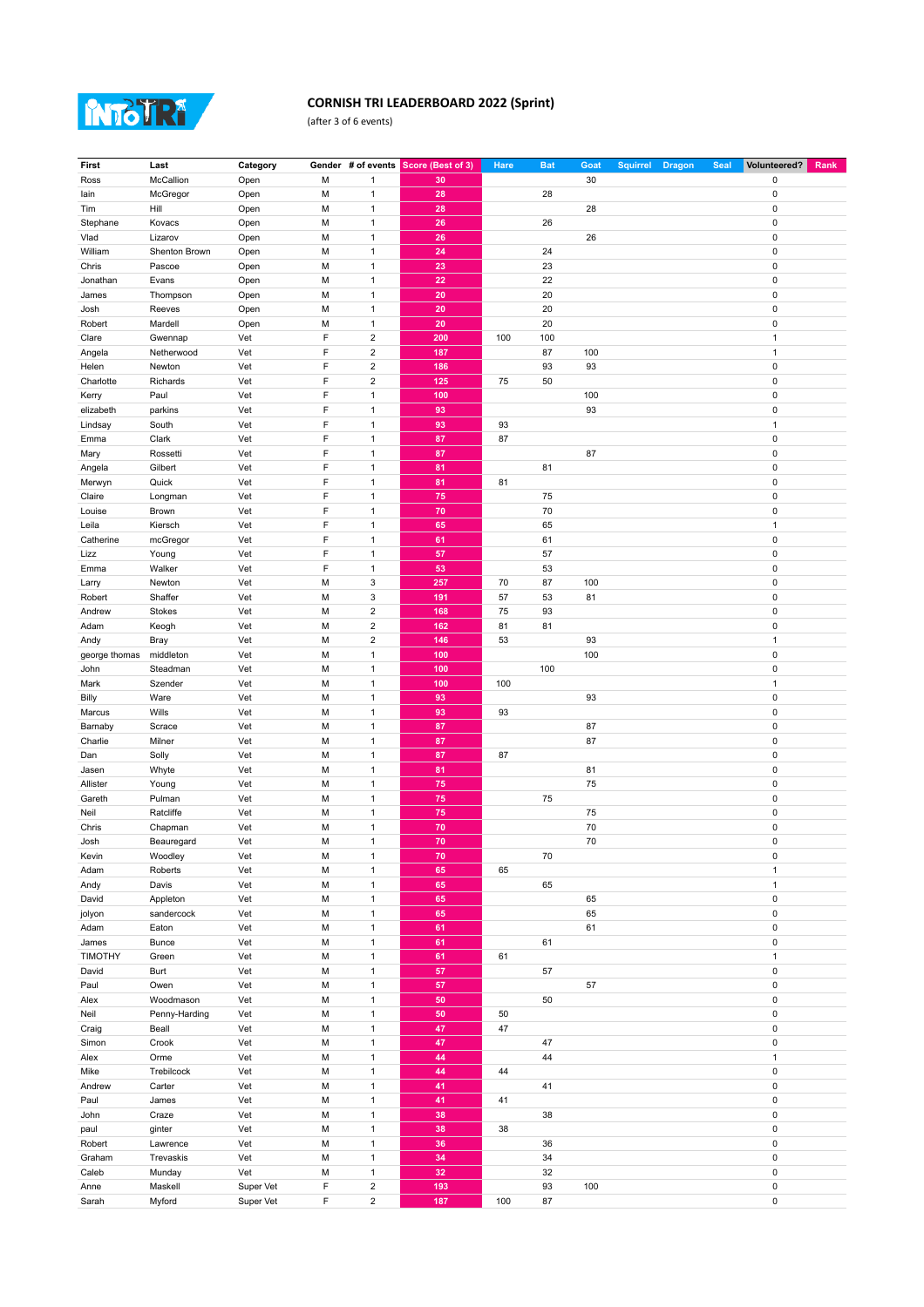

## **CORNISH TRI LEADERBOARD 2022 (Sprint)**

(after 3 of 6 events)

| First          | Last          | Category  |   |                         | Gender # of events Score (Best of 3) | Hare | <b>Bat</b> | Goat | <b>Squirrel</b> | <b>Dragon</b> | <b>Seal</b> | Volunteered? | Rank |
|----------------|---------------|-----------|---|-------------------------|--------------------------------------|------|------------|------|-----------------|---------------|-------------|--------------|------|
| Ross           | McCallion     | Open      | М | $\mathbf{1}$            | 30                                   |      |            | 30   |                 |               |             | 0            |      |
| lain           | McGregor      | Open      | M | $\mathbf{1}$            | 28                                   |      | 28         |      |                 |               |             | 0            |      |
|                |               |           |   |                         |                                      |      |            |      |                 |               |             |              |      |
| Tim            | Hill          | Open      | M | $\mathbf{1}$            | 28                                   |      |            | 28   |                 |               |             | 0            |      |
| Stephane       | Kovacs        | Open      | M | $\overline{1}$          | 26                                   |      | 26         |      |                 |               |             | $\pmb{0}$    |      |
| Vlad           | Lizarov       | Open      | M | $\mathbf{1}$            | 26                                   |      |            | 26   |                 |               |             | 0            |      |
|                | Shenton Brown |           | M | $\mathbf{1}$            | 24                                   |      | 24         |      |                 |               |             | 0            |      |
| William        |               | Open      |   |                         |                                      |      |            |      |                 |               |             |              |      |
| Chris          | Pascoe        | Open      | M | $\mathbf{1}$            | 23                                   |      | 23         |      |                 |               |             | 0            |      |
| Jonathan       | Evans         | Open      | M | $\mathbf{1}$            | 22                                   |      | 22         |      |                 |               |             | 0            |      |
| James          | Thompson      | Open      | M | $\mathbf{1}$            | 20                                   |      | 20         |      |                 |               |             | $\pmb{0}$    |      |
|                |               |           |   |                         |                                      |      |            |      |                 |               |             |              |      |
| Josh           | Reeves        | Open      | M | $\mathbf{1}$            | 20                                   |      | 20         |      |                 |               |             | $\pmb{0}$    |      |
| Robert         | Mardell       | Open      | M | $\mathbf{1}$            | 20                                   |      | 20         |      |                 |               |             | 0            |      |
| Clare          | Gwennap       | Vet       | F | $\overline{2}$          | 200                                  | 100  | 100        |      |                 |               |             | $\mathbf{1}$ |      |
|                | Netherwood    | Vet       | F | $\overline{2}$          | 187                                  |      | 87         | 100  |                 |               |             | 1            |      |
| Angela         |               |           |   |                         |                                      |      |            |      |                 |               |             |              |      |
| Helen          | Newton        | Vet       | F | $\overline{2}$          | 186                                  |      | 93         | 93   |                 |               |             | 0            |      |
| Charlotte      | Richards      | Vet       | F | $\overline{2}$          | 125                                  | 75   | 50         |      |                 |               |             | 0            |      |
| Kerry          | Paul          | Vet       | F | $\mathbf{1}$            | 100                                  |      |            | 100  |                 |               |             | 0            |      |
|                |               |           |   |                         |                                      |      |            |      |                 |               |             |              |      |
| elizabeth      | parkins       | Vet       | F | $\mathbf{1}$            | 93                                   |      |            | 93   |                 |               |             | 0            |      |
| Lindsay        | South         | Vet       | F | $\mathbf{1}$            | 93                                   | 93   |            |      |                 |               |             | $\mathbf{1}$ |      |
| Emma           | Clark         | Vet       | F | $\mathbf{1}$            | 87                                   | 87   |            |      |                 |               |             | 0            |      |
|                |               |           | F |                         |                                      |      |            |      |                 |               |             |              |      |
| Mary           | Rossetti      | Vet       |   | $\mathbf{1}$            | 87                                   |      |            | 87   |                 |               |             | 0            |      |
| Angela         | Gilbert       | Vet       | F | $\overline{1}$          | 81                                   |      | 81         |      |                 |               |             | $\pmb{0}$    |      |
| Merwyn         | Quick         | Vet       | F | $\mathbf{1}$            | 81                                   | 81   |            |      |                 |               |             | 0            |      |
| Claire         | Longman       | Vet       | F | $\mathbf{1}$            | 75                                   |      | 75         |      |                 |               |             | 0            |      |
|                |               |           |   |                         |                                      |      |            |      |                 |               |             |              |      |
| Louise         | Brown         | Vet       | F | $\mathbf{1}$            | 70                                   |      | 70         |      |                 |               |             | 0            |      |
| Leila          | Kiersch       | Vet       | F | $\mathbf{1}$            | 65                                   |      | 65         |      |                 |               |             | 1            |      |
| Catherine      | mcGregor      | Vet       | F | $\mathbf{1}$            | 61                                   |      | 61         |      |                 |               |             | $\pmb{0}$    |      |
|                |               |           | F |                         |                                      |      |            |      |                 |               |             |              |      |
| Lizz           | Young         | Vet       |   | $\mathbf{1}$            | 57                                   |      | 57         |      |                 |               |             | 0            |      |
| Emma           | Walker        | Vet       | F | $\mathbf{1}$            | 53                                   |      | 53         |      |                 |               |             | 0            |      |
| Larry          | Newton        | Vet       | M | 3                       | 257                                  | 70   | 87         | 100  |                 |               |             | 0            |      |
|                | Shaffer       | Vet       | M | $\mathsf 3$             | 191                                  | 57   | 53         | 81   |                 |               |             | 0            |      |
| Robert         |               |           |   |                         |                                      |      |            |      |                 |               |             |              |      |
| Andrew         | Stokes        | Vet       | M | $\overline{2}$          | 168                                  | 75   | 93         |      |                 |               |             | 0            |      |
| Adam           | Keogh         | Vet       | M | $\overline{2}$          | 162                                  | 81   | 81         |      |                 |               |             | $\pmb{0}$    |      |
| Andy           | Bray          | Vet       | M | $\mathbf 2$             | 146                                  | 53   |            | 93   |                 |               |             | $\mathbf{1}$ |      |
|                |               |           |   |                         |                                      |      |            |      |                 |               |             |              |      |
| george thomas  | middleton     | Vet       | М | $\mathbf{1}$            | 100                                  |      |            | 100  |                 |               |             | 0            |      |
| John           | Steadman      | Vet       | M | $\mathbf{1}$            | 100                                  |      | 100        |      |                 |               |             | 0            |      |
| Mark           | Szender       | Vet       | M | $\mathbf{1}$            | 100                                  | 100  |            |      |                 |               |             | 1            |      |
|                |               |           |   |                         |                                      |      |            |      |                 |               |             |              |      |
| Billy          | Ware          | Vet       | M | $\overline{1}$          | 93                                   |      |            | 93   |                 |               |             | $\pmb{0}$    |      |
| Marcus         | Wills         | Vet       | М | $\mathbf{1}$            | 93                                   | 93   |            |      |                 |               |             | 0            |      |
| Barnaby        | Scrace        | Vet       | M | $\mathbf{1}$            | 87                                   |      |            | 87   |                 |               |             | 0            |      |
| Charlie        | Milner        | Vet       | M | $\mathbf{1}$            | 87                                   |      |            | 87   |                 |               |             | 0            |      |
|                |               |           |   |                         |                                      |      |            |      |                 |               |             |              |      |
| Dan            | Solly         | Vet       | M | $\mathbf{1}$            | 87                                   | 87   |            |      |                 |               |             | 0            |      |
| Jasen          | Whyte         | Vet       | М | $\mathbf{1}$            | 81                                   |      |            | 81   |                 |               |             | 0            |      |
| Allister       | Young         | Vet       | M | $\overline{1}$          | 75                                   |      |            | 75   |                 |               |             | $\pmb{0}$    |      |
|                |               |           |   |                         |                                      |      |            |      |                 |               |             |              |      |
| Gareth         | Pulman        | Vet       | M | $\mathbf{1}$            | 75                                   |      | 75         |      |                 |               |             | $\mathbf 0$  |      |
| Neil           | Ratcliffe     | Vet       | М | $\mathbf{1}$            | 75                                   |      |            | 75   |                 |               |             | 0            |      |
| Chris          | Chapman       | Vet       | M | $\mathbf{1}$            | 70                                   |      |            | 70   |                 |               |             | 0            |      |
| Josh           | Beauregard    | Vet       | M | $\mathbf{1}$            | 70                                   |      |            | 70   |                 |               |             | 0            |      |
|                |               |           |   |                         |                                      |      |            |      |                 |               |             |              |      |
| Kevin          | Woodley       | Vet       | M | $\mathbf{1}$            | 70                                   |      | 70         |      |                 |               |             | 0            |      |
| Adam           | Roberts       | Vet       | М | $\mathbf{1}$            | 65                                   | 65   |            |      |                 |               |             | $\mathbf{1}$ |      |
| Andy           | Davis         | Vet       | M | $\mathbf{1}$            | 65                                   |      | 65         |      |                 |               |             | $\mathbf{1}$ |      |
|                | Appleton      |           | М | $\mathbf{1}$            | 65                                   |      |            |      |                 |               |             | $\pmb{0}$    |      |
| David          |               | Vet       |   |                         |                                      |      |            | 65   |                 |               |             |              |      |
| jolyon         | sandercock    | Vet       | М | $\mathbf{1}$            | 65                                   |      |            | 65   |                 |               |             | $\pmb{0}$    |      |
| Adam           | Eaton         | Vet       | M | $\mathbf{1}$            | 61                                   |      |            | 61   |                 |               |             | 0            |      |
| James          | <b>Bunce</b>  | Vet       | М | $\mathbf{1}$            | 61                                   |      | 61         |      |                 |               |             | $\pmb{0}$    |      |
|                |               |           |   |                         |                                      |      |            |      |                 |               |             |              |      |
| <b>TIMOTHY</b> | Green         | Vet       | М | $\mathbf{1}$            | 61                                   | 61   |            |      |                 |               |             | $\mathbf{1}$ |      |
| David          | Burt          | Vet       | М | $\mathbf{1}$            | 57                                   |      | 57         |      |                 |               |             | $\pmb{0}$    |      |
| Paul           | Owen          | Vet       | М | $\mathbf{1}$            | 57                                   |      |            | 57   |                 |               |             | 0            |      |
|                |               |           |   |                         |                                      |      |            |      |                 |               |             |              |      |
| Alex           | Woodmason     | Vet       | М | $\mathbf{1}$            | 50                                   |      | 50         |      |                 |               |             | $\pmb{0}$    |      |
| Neil           | Penny-Harding | Vet       | М | $\overline{1}$          | 50                                   | 50   |            |      |                 |               |             | $\pmb{0}$    |      |
| Craig          | Beall         | Vet       | М | $\overline{1}$          | 47                                   | 47   |            |      |                 |               |             | $\pmb{0}$    |      |
| Simon          | Crook         | Vet       | М | $\mathbf{1}$            | 47                                   |      | 47         |      |                 |               |             | $\pmb{0}$    |      |
|                |               |           |   |                         |                                      |      |            |      |                 |               |             |              |      |
| Alex           | Orme          | Vet       | М | $\mathbf{1}$            | 44                                   |      | 44         |      |                 |               |             | $\mathbf{1}$ |      |
| Mike           | Trebilcock    | Vet       | М | $\mathbf{1}$            | 44                                   | 44   |            |      |                 |               |             | 0            |      |
| Andrew         | Carter        | Vet       | М | $\mathbf{1}$            | 41                                   |      | 41         |      |                 |               |             | 0            |      |
|                |               |           |   |                         |                                      |      |            |      |                 |               |             |              |      |
| Paul           | James         | Vet       | М | $\mathbf{1}$            | 41                                   | 41   |            |      |                 |               |             | $\pmb{0}$    |      |
| John           | Craze         | Vet       | М | $\overline{1}$          | 38                                   |      | 38         |      |                 |               |             | $\pmb{0}$    |      |
| paul           | ginter        | Vet       | М | $\mathbf{1}$            | 38                                   | 38   |            |      |                 |               |             | $\pmb{0}$    |      |
| Robert         |               |           | М | $\mathbf{1}$            | 36                                   |      | 36         |      |                 |               |             | $\pmb{0}$    |      |
|                | Lawrence      | Vet       |   |                         |                                      |      |            |      |                 |               |             |              |      |
| Graham         | Trevaskis     | Vet       | М | $\mathbf{1}$            | 34                                   |      | 34         |      |                 |               |             | $\pmb{0}$    |      |
| Caleb          | Munday        | Vet       | M | $\mathbf{1}$            | 32                                   |      | 32         |      |                 |               |             | 0            |      |
| Anne           | Maskell       | Super Vet | F | $\overline{\mathbf{c}}$ | 193                                  |      | 93         | 100  |                 |               |             | $\pmb{0}$    |      |
|                |               |           |   |                         |                                      |      |            |      |                 |               |             |              |      |
| Sarah          | Myford        | Super Vet | F | $\overline{\mathbf{c}}$ | 187                                  | 100  | 87         |      |                 |               |             | 0            |      |